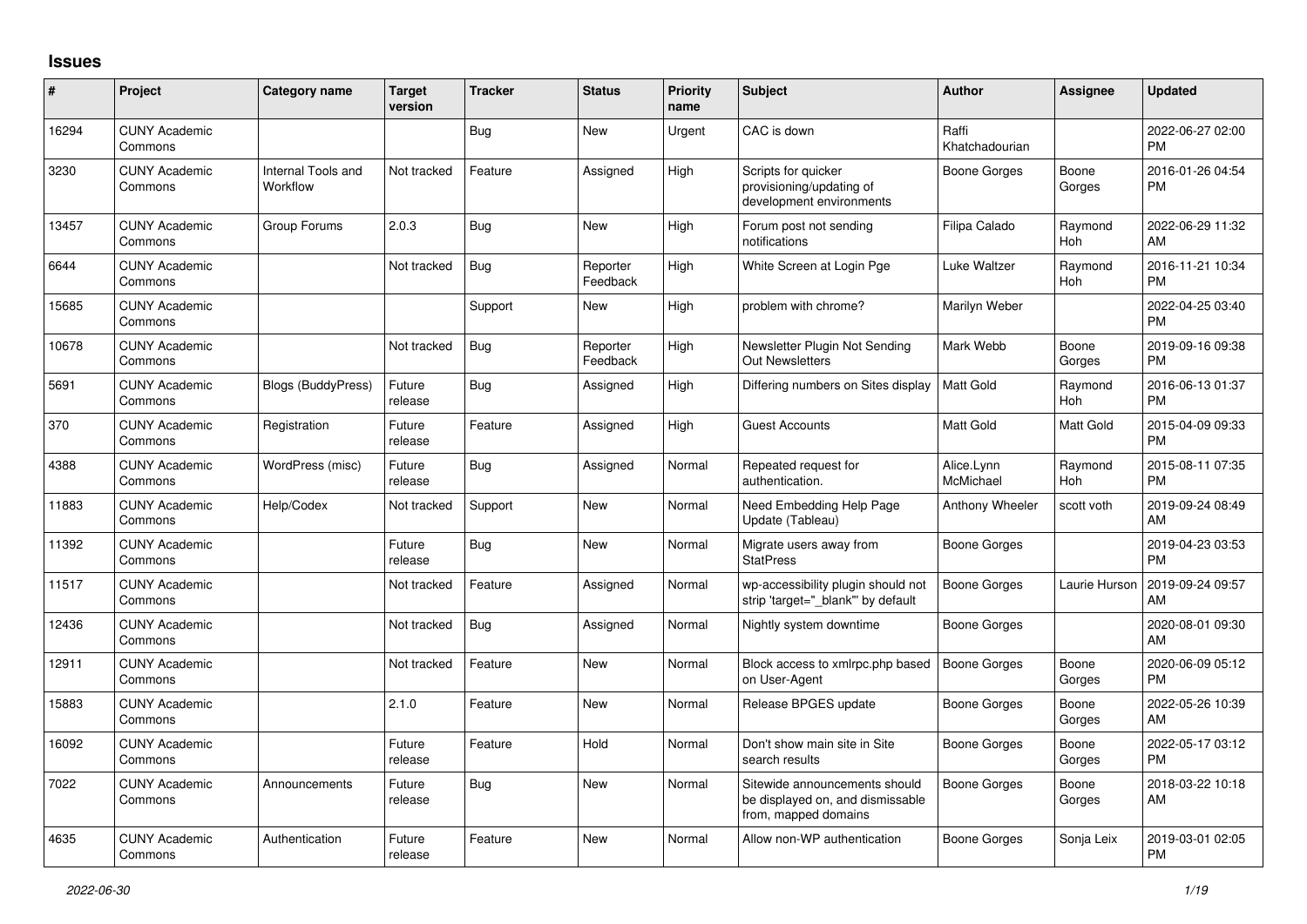## **Issues**

| #     | Project                         | <b>Category name</b>           | <b>Target</b><br>version | <b>Tracker</b> | <b>Status</b>        | Priority<br>name | <b>Subject</b>                                                                            | <b>Author</b>           | Assignee        | <b>Updated</b>                |
|-------|---------------------------------|--------------------------------|--------------------------|----------------|----------------------|------------------|-------------------------------------------------------------------------------------------|-------------------------|-----------------|-------------------------------|
| 16294 | <b>CUNY Academic</b><br>Commons |                                |                          | Bug            | <b>New</b>           | Urgent           | CAC is down                                                                               | Raffi<br>Khatchadourian |                 | 2022-06-27 02:00<br><b>PM</b> |
| 3230  | <b>CUNY Academic</b><br>Commons | Internal Tools and<br>Workflow | Not tracked              | Feature        | Assigned             | High             | Scripts for quicker<br>provisioning/updating of<br>development environments               | Boone Gorges            | Boone<br>Gorges | 2016-01-26 04:54<br><b>PM</b> |
| 13457 | <b>CUNY Academic</b><br>Commons | Group Forums                   | 2.0.3                    | Bug            | <b>New</b>           | High             | Forum post not sending<br>notifications                                                   | Filipa Calado           | Raymond<br>Hoh  | 2022-06-29 11:32<br>AM        |
| 6644  | <b>CUNY Academic</b><br>Commons |                                | Not tracked              | Bug            | Reporter<br>Feedback | High             | White Screen at Login Pge                                                                 | Luke Waltzer            | Raymond<br>Hoh  | 2016-11-21 10:34<br><b>PM</b> |
| 15685 | <b>CUNY Academic</b><br>Commons |                                |                          | Support        | New                  | High             | problem with chrome?                                                                      | Marilyn Weber           |                 | 2022-04-25 03:40<br><b>PM</b> |
| 10678 | <b>CUNY Academic</b><br>Commons |                                | Not tracked              | Bug            | Reporter<br>Feedback | High             | Newsletter Plugin Not Sending<br><b>Out Newsletters</b>                                   | Mark Webb               | Boone<br>Gorges | 2019-09-16 09:38<br><b>PM</b> |
| 5691  | <b>CUNY Academic</b><br>Commons | <b>Blogs (BuddyPress)</b>      | Future<br>release        | Bug            | Assigned             | High             | Differing numbers on Sites display                                                        | Matt Gold               | Raymond<br>Hoh  | 2016-06-13 01:37<br><b>PM</b> |
| 370   | <b>CUNY Academic</b><br>Commons | Registration                   | Future<br>release        | Feature        | Assigned             | High             | <b>Guest Accounts</b>                                                                     | Matt Gold               | Matt Gold       | 2015-04-09 09:33<br><b>PM</b> |
| 4388  | <b>CUNY Academic</b><br>Commons | WordPress (misc)               | Future<br>release        | Bug            | Assigned             | Normal           | Repeated request for<br>authentication.                                                   | Alice.Lynn<br>McMichael | Raymond<br>Hoh  | 2015-08-11 07:35<br><b>PM</b> |
| 11883 | <b>CUNY Academic</b><br>Commons | Help/Codex                     | Not tracked              | Support        | <b>New</b>           | Normal           | Need Embedding Help Page<br>Update (Tableau)                                              | Anthony Wheeler         | scott voth      | 2019-09-24 08:49<br>AM        |
| 11392 | <b>CUNY Academic</b><br>Commons |                                | Future<br>release        | Bug            | <b>New</b>           | Normal           | Migrate users away from<br><b>StatPress</b>                                               | Boone Gorges            |                 | 2019-04-23 03:53<br><b>PM</b> |
| 11517 | <b>CUNY Academic</b><br>Commons |                                | Not tracked              | Feature        | Assigned             | Normal           | wp-accessibility plugin should not<br>strip 'target=" blank" by default                   | Boone Gorges            | Laurie Hurson   | 2019-09-24 09:57<br>AM        |
| 12436 | <b>CUNY Academic</b><br>Commons |                                | Not tracked              | Bug            | Assigned             | Normal           | Nightly system downtime                                                                   | Boone Gorges            |                 | 2020-08-01 09:30<br>AM        |
| 12911 | <b>CUNY Academic</b><br>Commons |                                | Not tracked              | Feature        | <b>New</b>           | Normal           | Block access to xmlrpc.php based<br>on User-Agent                                         | <b>Boone Gorges</b>     | Boone<br>Gorges | 2020-06-09 05:12<br><b>PM</b> |
| 15883 | <b>CUNY Academic</b><br>Commons |                                | 2.1.0                    | Feature        | <b>New</b>           | Normal           | Release BPGES update                                                                      | <b>Boone Gorges</b>     | Boone<br>Gorges | 2022-05-26 10:39<br><b>AM</b> |
| 16092 | <b>CUNY Academic</b><br>Commons |                                | Future<br>release        | Feature        | Hold                 | Normal           | Don't show main site in Site<br>search results                                            | Boone Gorges            | Boone<br>Gorges | 2022-05-17 03:12<br><b>PM</b> |
| 7022  | <b>CUNY Academic</b><br>Commons | Announcements                  | Future<br>release        | Bug            | New                  | Normal           | Sitewide announcements should<br>be displayed on, and dismissable<br>from, mapped domains | Boone Gorges            | Boone<br>Gorges | 2018-03-22 10:18<br>AM        |
| 4635  | <b>CUNY Academic</b><br>Commons | Authentication                 | Future<br>release        | Feature        | New                  | Normal           | Allow non-WP authentication                                                               | Boone Gorges            | Sonja Leix      | 2019-03-01 02:05<br><b>PM</b> |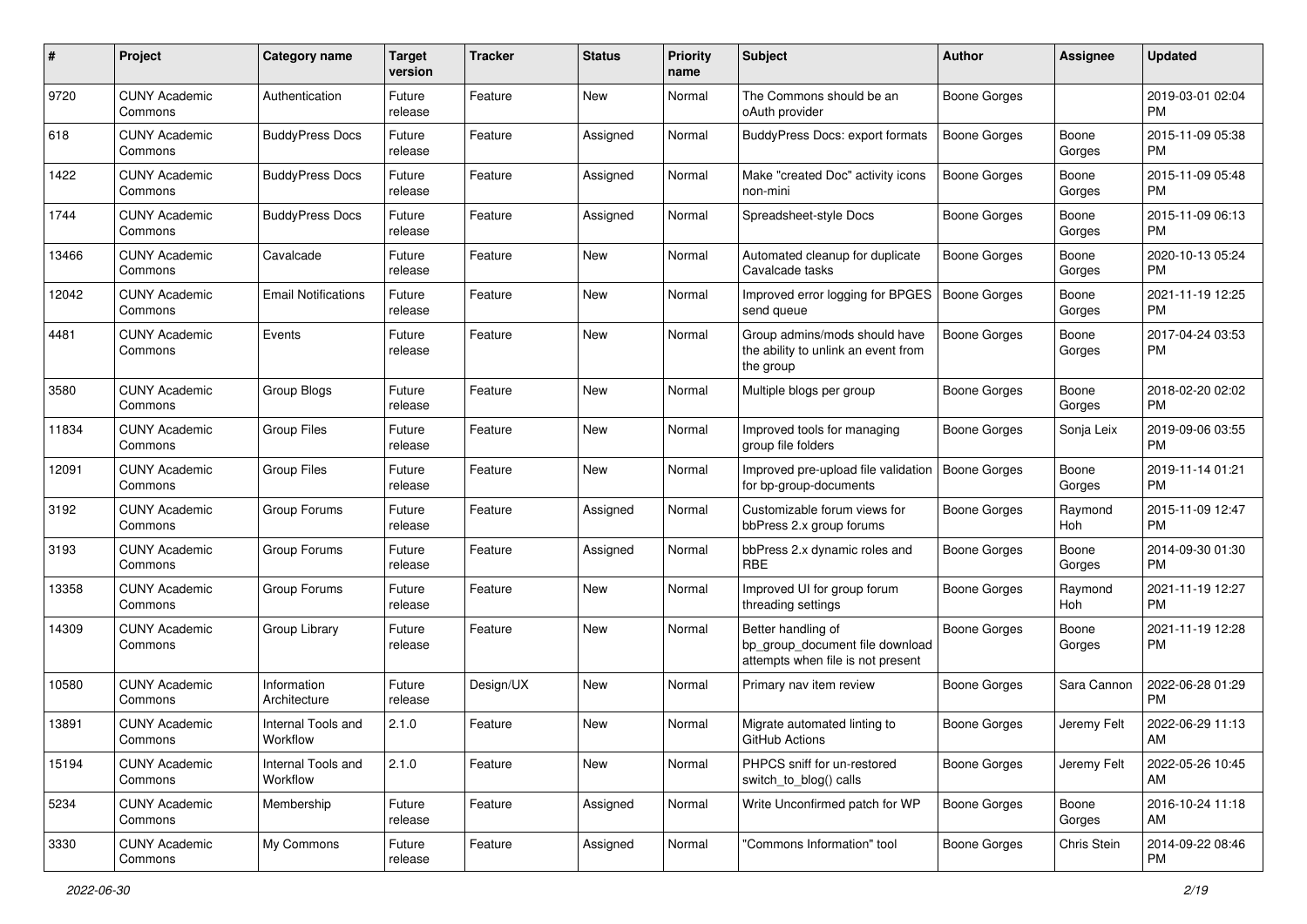| #     | Project                         | <b>Category name</b>           | <b>Target</b><br>version | <b>Tracker</b> | <b>Status</b> | <b>Priority</b><br>name | <b>Subject</b>                                                                             | <b>Author</b>       | <b>Assignee</b> | <b>Updated</b>                |
|-------|---------------------------------|--------------------------------|--------------------------|----------------|---------------|-------------------------|--------------------------------------------------------------------------------------------|---------------------|-----------------|-------------------------------|
| 9720  | <b>CUNY Academic</b><br>Commons | Authentication                 | Future<br>release        | Feature        | New           | Normal                  | The Commons should be an<br>oAuth provider                                                 | Boone Gorges        |                 | 2019-03-01 02:04<br>PM.       |
| 618   | <b>CUNY Academic</b><br>Commons | <b>BuddyPress Docs</b>         | Future<br>release        | Feature        | Assigned      | Normal                  | <b>BuddyPress Docs: export formats</b>                                                     | <b>Boone Gorges</b> | Boone<br>Gorges | 2015-11-09 05:38<br><b>PM</b> |
| 1422  | <b>CUNY Academic</b><br>Commons | <b>BuddyPress Docs</b>         | Future<br>release        | Feature        | Assigned      | Normal                  | Make "created Doc" activity icons<br>non-mini                                              | Boone Gorges        | Boone<br>Gorges | 2015-11-09 05:48<br><b>PM</b> |
| 1744  | <b>CUNY Academic</b><br>Commons | <b>BuddyPress Docs</b>         | Future<br>release        | Feature        | Assigned      | Normal                  | Spreadsheet-style Docs                                                                     | Boone Gorges        | Boone<br>Gorges | 2015-11-09 06:13<br><b>PM</b> |
| 13466 | <b>CUNY Academic</b><br>Commons | Cavalcade                      | Future<br>release        | Feature        | New           | Normal                  | Automated cleanup for duplicate<br>Cavalcade tasks                                         | Boone Gorges        | Boone<br>Gorges | 2020-10-13 05:24<br><b>PM</b> |
| 12042 | <b>CUNY Academic</b><br>Commons | <b>Email Notifications</b>     | Future<br>release        | Feature        | New           | Normal                  | Improved error logging for BPGES<br>send queue                                             | Boone Gorges        | Boone<br>Gorges | 2021-11-19 12:25<br><b>PM</b> |
| 4481  | <b>CUNY Academic</b><br>Commons | Events                         | Future<br>release        | Feature        | New           | Normal                  | Group admins/mods should have<br>the ability to unlink an event from<br>the group          | Boone Gorges        | Boone<br>Gorges | 2017-04-24 03:53<br>PM        |
| 3580  | <b>CUNY Academic</b><br>Commons | Group Blogs                    | Future<br>release        | Feature        | New           | Normal                  | Multiple blogs per group                                                                   | Boone Gorges        | Boone<br>Gorges | 2018-02-20 02:02<br><b>PM</b> |
| 11834 | <b>CUNY Academic</b><br>Commons | <b>Group Files</b>             | Future<br>release        | Feature        | New           | Normal                  | Improved tools for managing<br>group file folders                                          | Boone Gorges        | Sonja Leix      | 2019-09-06 03:55<br><b>PM</b> |
| 12091 | <b>CUNY Academic</b><br>Commons | <b>Group Files</b>             | Future<br>release        | Feature        | New           | Normal                  | Improved pre-upload file validation<br>for bp-group-documents                              | Boone Gorges        | Boone<br>Gorges | 2019-11-14 01:21<br><b>PM</b> |
| 3192  | <b>CUNY Academic</b><br>Commons | Group Forums                   | Future<br>release        | Feature        | Assigned      | Normal                  | Customizable forum views for<br>bbPress 2.x group forums                                   | Boone Gorges        | Raymond<br>Hoh  | 2015-11-09 12:47<br><b>PM</b> |
| 3193  | <b>CUNY Academic</b><br>Commons | Group Forums                   | Future<br>release        | Feature        | Assigned      | Normal                  | bbPress 2.x dynamic roles and<br><b>RBE</b>                                                | Boone Gorges        | Boone<br>Gorges | 2014-09-30 01:30<br><b>PM</b> |
| 13358 | <b>CUNY Academic</b><br>Commons | Group Forums                   | Future<br>release        | Feature        | New           | Normal                  | Improved UI for group forum<br>threading settings                                          | Boone Gorges        | Raymond<br>Hoh  | 2021-11-19 12:27<br><b>PM</b> |
| 14309 | <b>CUNY Academic</b><br>Commons | Group Library                  | Future<br>release        | Feature        | New           | Normal                  | Better handling of<br>bp_group_document file download<br>attempts when file is not present | <b>Boone Gorges</b> | Boone<br>Gorges | 2021-11-19 12:28<br><b>PM</b> |
| 10580 | <b>CUNY Academic</b><br>Commons | Information<br>Architecture    | Future<br>release        | Design/UX      | New           | Normal                  | Primary nav item review                                                                    | Boone Gorges        | Sara Cannon     | 2022-06-28 01:29<br><b>PM</b> |
| 13891 | <b>CUNY Academic</b><br>Commons | Internal Tools and<br>Workflow | 2.1.0                    | Feature        | New           | Normal                  | Migrate automated linting to<br>GitHub Actions                                             | Boone Gorges        | Jeremy Felt     | 2022-06-29 11:13<br>AM        |
| 15194 | <b>CUNY Academic</b><br>Commons | Internal Tools and<br>Workflow | 2.1.0                    | Feature        | New           | Normal                  | PHPCS sniff for un-restored<br>switch_to_blog() calls                                      | <b>Boone Gorges</b> | Jeremy Felt     | 2022-05-26 10:45<br>AM        |
| 5234  | <b>CUNY Academic</b><br>Commons | Membership                     | Future<br>release        | Feature        | Assigned      | Normal                  | Write Unconfirmed patch for WP                                                             | Boone Gorges        | Boone<br>Gorges | 2016-10-24 11:18<br>AM        |
| 3330  | <b>CUNY Academic</b><br>Commons | My Commons                     | Future<br>release        | Feature        | Assigned      | Normal                  | "Commons Information" tool                                                                 | <b>Boone Gorges</b> | Chris Stein     | 2014-09-22 08:46<br>PM        |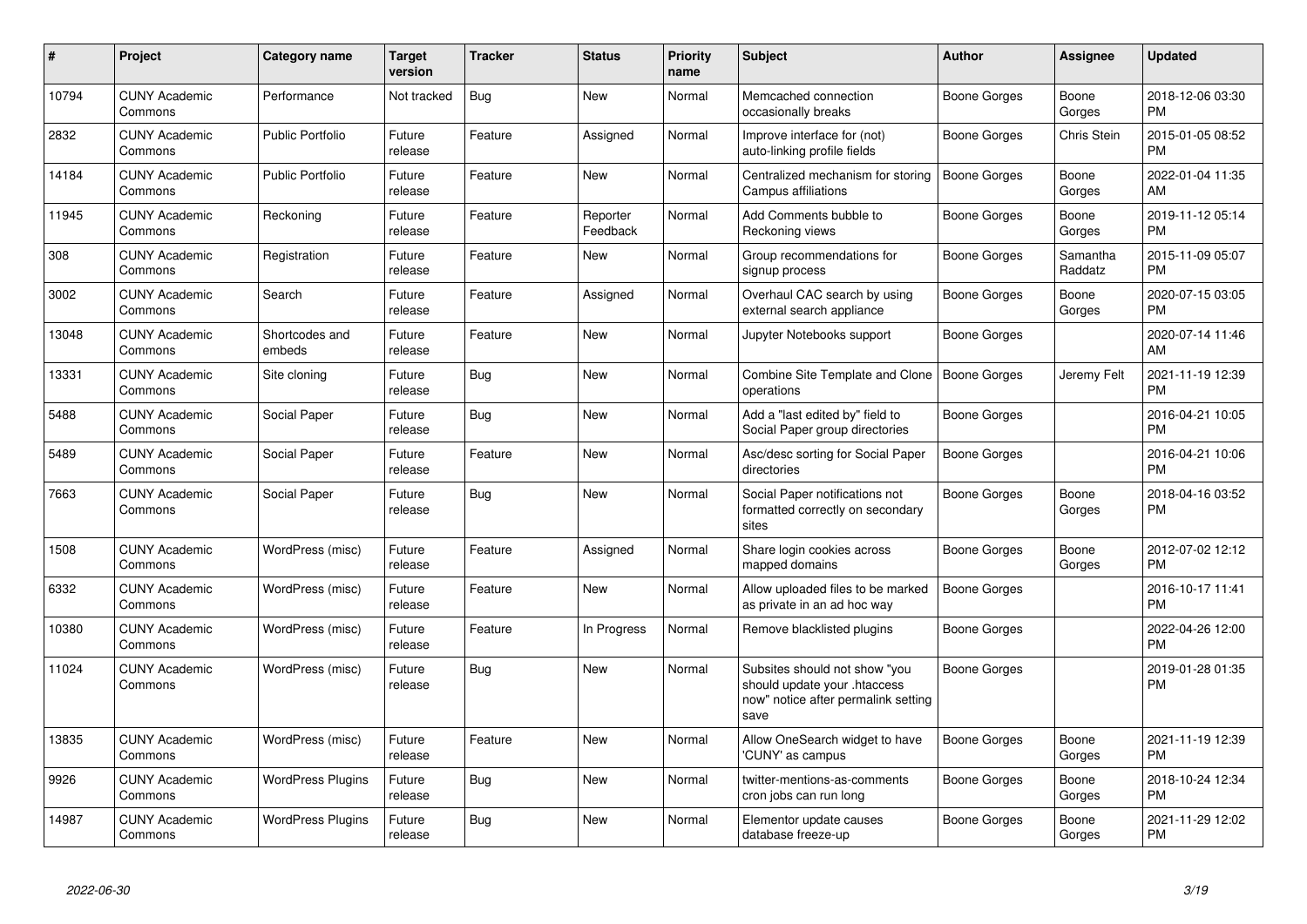| #     | <b>Project</b>                  | Category name            | <b>Target</b><br>version | <b>Tracker</b> | <b>Status</b>        | <b>Priority</b><br>name | <b>Subject</b>                                                                                               | <b>Author</b>       | Assignee            | <b>Updated</b>                |
|-------|---------------------------------|--------------------------|--------------------------|----------------|----------------------|-------------------------|--------------------------------------------------------------------------------------------------------------|---------------------|---------------------|-------------------------------|
| 10794 | <b>CUNY Academic</b><br>Commons | Performance              | Not tracked              | Bug            | <b>New</b>           | Normal                  | Memcached connection<br>occasionally breaks                                                                  | Boone Gorges        | Boone<br>Gorges     | 2018-12-06 03:30<br><b>PM</b> |
| 2832  | <b>CUNY Academic</b><br>Commons | <b>Public Portfolio</b>  | Future<br>release        | Feature        | Assigned             | Normal                  | Improve interface for (not)<br>auto-linking profile fields                                                   | Boone Gorges        | <b>Chris Stein</b>  | 2015-01-05 08:52<br><b>PM</b> |
| 14184 | <b>CUNY Academic</b><br>Commons | <b>Public Portfolio</b>  | Future<br>release        | Feature        | <b>New</b>           | Normal                  | Centralized mechanism for storing<br>Campus affiliations                                                     | Boone Gorges        | Boone<br>Gorges     | 2022-01-04 11:35<br>AM        |
| 11945 | <b>CUNY Academic</b><br>Commons | Reckoning                | Future<br>release        | Feature        | Reporter<br>Feedback | Normal                  | Add Comments bubble to<br>Reckoning views                                                                    | Boone Gorges        | Boone<br>Gorges     | 2019-11-12 05:14<br><b>PM</b> |
| 308   | <b>CUNY Academic</b><br>Commons | Registration             | Future<br>release        | Feature        | New                  | Normal                  | Group recommendations for<br>signup process                                                                  | Boone Gorges        | Samantha<br>Raddatz | 2015-11-09 05:07<br>PM.       |
| 3002  | <b>CUNY Academic</b><br>Commons | Search                   | Future<br>release        | Feature        | Assigned             | Normal                  | Overhaul CAC search by using<br>external search appliance                                                    | Boone Gorges        | Boone<br>Gorges     | 2020-07-15 03:05<br>PM.       |
| 13048 | <b>CUNY Academic</b><br>Commons | Shortcodes and<br>embeds | Future<br>release        | Feature        | New                  | Normal                  | Jupyter Notebooks support                                                                                    | Boone Gorges        |                     | 2020-07-14 11:46<br><b>AM</b> |
| 13331 | <b>CUNY Academic</b><br>Commons | Site cloning             | Future<br>release        | Bug            | <b>New</b>           | Normal                  | Combine Site Template and Clone<br>operations                                                                | Boone Gorges        | Jeremy Felt         | 2021-11-19 12:39<br><b>PM</b> |
| 5488  | <b>CUNY Academic</b><br>Commons | Social Paper             | Future<br>release        | Bug            | <b>New</b>           | Normal                  | Add a "last edited by" field to<br>Social Paper group directories                                            | Boone Gorges        |                     | 2016-04-21 10:05<br><b>PM</b> |
| 5489  | <b>CUNY Academic</b><br>Commons | Social Paper             | Future<br>release        | Feature        | <b>New</b>           | Normal                  | Asc/desc sorting for Social Paper<br>directories                                                             | Boone Gorges        |                     | 2016-04-21 10:06<br><b>PM</b> |
| 7663  | <b>CUNY Academic</b><br>Commons | Social Paper             | Future<br>release        | Bug            | New                  | Normal                  | Social Paper notifications not<br>formatted correctly on secondary<br>sites                                  | Boone Gorges        | Boone<br>Gorges     | 2018-04-16 03:52<br>PM        |
| 1508  | <b>CUNY Academic</b><br>Commons | WordPress (misc)         | Future<br>release        | Feature        | Assigned             | Normal                  | Share login cookies across<br>mapped domains                                                                 | Boone Gorges        | Boone<br>Gorges     | 2012-07-02 12:12<br><b>PM</b> |
| 6332  | <b>CUNY Academic</b><br>Commons | WordPress (misc)         | Future<br>release        | Feature        | <b>New</b>           | Normal                  | Allow uploaded files to be marked<br>as private in an ad hoc way                                             | <b>Boone Gorges</b> |                     | 2016-10-17 11:41<br><b>PM</b> |
| 10380 | <b>CUNY Academic</b><br>Commons | WordPress (misc)         | Future<br>release        | Feature        | In Progress          | Normal                  | Remove blacklisted plugins                                                                                   | Boone Gorges        |                     | 2022-04-26 12:00<br><b>PM</b> |
| 11024 | <b>CUNY Academic</b><br>Commons | WordPress (misc)         | Future<br>release        | Bug            | <b>New</b>           | Normal                  | Subsites should not show "you<br>should update your .htaccess<br>now" notice after permalink setting<br>save | Boone Gorges        |                     | 2019-01-28 01:35<br>PM        |
| 13835 | <b>CUNY Academic</b><br>Commons | WordPress (misc)         | Future<br>release        | Feature        | New                  | Normal                  | Allow OneSearch widget to have<br>'CUNY' as campus                                                           | Boone Gorges        | Boone<br>Gorges     | 2021-11-19 12:39<br><b>PM</b> |
| 9926  | <b>CUNY Academic</b><br>Commons | <b>WordPress Plugins</b> | Future<br>release        | Bug            | <b>New</b>           | Normal                  | twitter-mentions-as-comments<br>cron jobs can run long                                                       | Boone Gorges        | Boone<br>Gorges     | 2018-10-24 12:34<br><b>PM</b> |
| 14987 | <b>CUNY Academic</b><br>Commons | <b>WordPress Plugins</b> | Future<br>release        | <b>Bug</b>     | <b>New</b>           | Normal                  | Elementor update causes<br>database freeze-up                                                                | Boone Gorges        | Boone<br>Gorges     | 2021-11-29 12:02<br><b>PM</b> |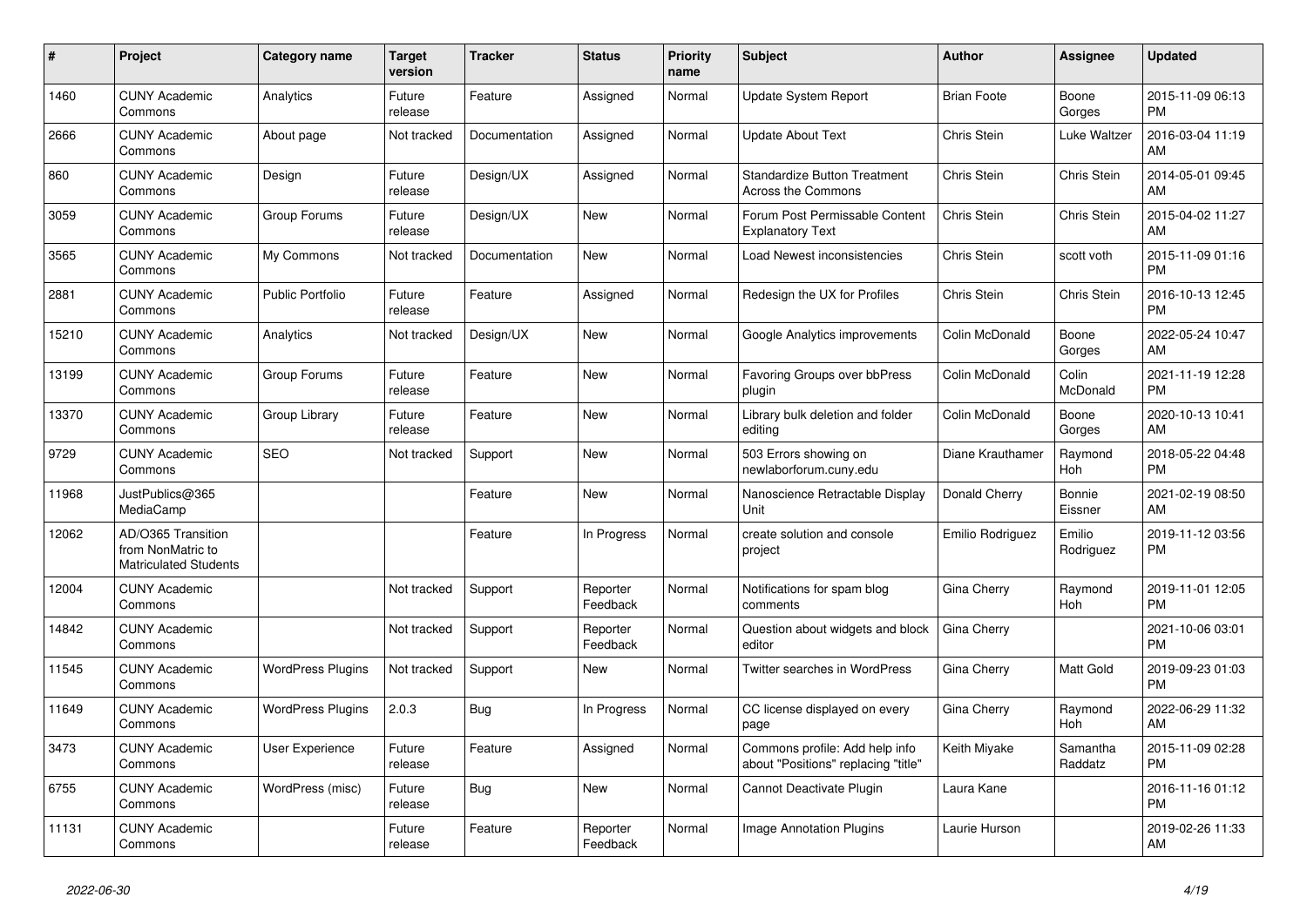| #     | <b>Project</b>                                                          | Category name            | <b>Target</b><br>version | <b>Tracker</b> | <b>Status</b>        | <b>Priority</b><br>name | <b>Subject</b>                                                        | <b>Author</b>      | Assignee            | <b>Updated</b>                |
|-------|-------------------------------------------------------------------------|--------------------------|--------------------------|----------------|----------------------|-------------------------|-----------------------------------------------------------------------|--------------------|---------------------|-------------------------------|
| 1460  | <b>CUNY Academic</b><br>Commons                                         | Analytics                | Future<br>release        | Feature        | Assigned             | Normal                  | <b>Update System Report</b>                                           | <b>Brian Foote</b> | Boone<br>Gorges     | 2015-11-09 06:13<br><b>PM</b> |
| 2666  | <b>CUNY Academic</b><br>Commons                                         | About page               | Not tracked              | Documentation  | Assigned             | Normal                  | <b>Update About Text</b>                                              | Chris Stein        | Luke Waltzer        | 2016-03-04 11:19<br>AM        |
| 860   | <b>CUNY Academic</b><br>Commons                                         | Design                   | Future<br>release        | Design/UX      | Assigned             | Normal                  | <b>Standardize Button Treatment</b><br><b>Across the Commons</b>      | Chris Stein        | Chris Stein         | 2014-05-01 09:45<br>AM        |
| 3059  | <b>CUNY Academic</b><br>Commons                                         | Group Forums             | Future<br>release        | Design/UX      | New                  | Normal                  | Forum Post Permissable Content<br><b>Explanatory Text</b>             | Chris Stein        | Chris Stein         | 2015-04-02 11:27<br>AM        |
| 3565  | <b>CUNY Academic</b><br>Commons                                         | My Commons               | Not tracked              | Documentation  | New                  | Normal                  | Load Newest inconsistencies                                           | Chris Stein        | scott voth          | 2015-11-09 01:16<br><b>PM</b> |
| 2881  | <b>CUNY Academic</b><br>Commons                                         | Public Portfolio         | Future<br>release        | Feature        | Assigned             | Normal                  | Redesign the UX for Profiles                                          | Chris Stein        | Chris Stein         | 2016-10-13 12:45<br><b>PM</b> |
| 15210 | <b>CUNY Academic</b><br>Commons                                         | Analytics                | Not tracked              | Design/UX      | New                  | Normal                  | Google Analytics improvements                                         | Colin McDonald     | Boone<br>Gorges     | 2022-05-24 10:47<br>AM        |
| 13199 | <b>CUNY Academic</b><br>Commons                                         | Group Forums             | Future<br>release        | Feature        | <b>New</b>           | Normal                  | Favoring Groups over bbPress<br>plugin                                | Colin McDonald     | Colin<br>McDonald   | 2021-11-19 12:28<br><b>PM</b> |
| 13370 | <b>CUNY Academic</b><br>Commons                                         | Group Library            | Future<br>release        | Feature        | New                  | Normal                  | Library bulk deletion and folder<br>editing                           | Colin McDonald     | Boone<br>Gorges     | 2020-10-13 10:41<br>AM        |
| 9729  | <b>CUNY Academic</b><br>Commons                                         | <b>SEO</b>               | Not tracked              | Support        | New                  | Normal                  | 503 Errors showing on<br>newlaborforum.cuny.edu                       | Diane Krauthamer   | Raymond<br>Hoh      | 2018-05-22 04:48<br><b>PM</b> |
| 11968 | JustPublics@365<br>MediaCamp                                            |                          |                          | Feature        | <b>New</b>           | Normal                  | Nanoscience Retractable Display<br>Unit                               | Donald Cherry      | Bonnie<br>Eissner   | 2021-02-19 08:50<br>AM        |
| 12062 | AD/O365 Transition<br>from NonMatric to<br><b>Matriculated Students</b> |                          |                          | Feature        | In Progress          | Normal                  | create solution and console<br>project                                | Emilio Rodriguez   | Emilio<br>Rodriguez | 2019-11-12 03:56<br><b>PM</b> |
| 12004 | <b>CUNY Academic</b><br>Commons                                         |                          | Not tracked              | Support        | Reporter<br>Feedback | Normal                  | Notifications for spam blog<br>comments                               | Gina Cherry        | Raymond<br>Hoh      | 2019-11-01 12:05<br><b>PM</b> |
| 14842 | <b>CUNY Academic</b><br>Commons                                         |                          | Not tracked              | Support        | Reporter<br>Feedback | Normal                  | Question about widgets and block<br>editor                            | Gina Cherry        |                     | 2021-10-06 03:01<br>PM        |
| 11545 | <b>CUNY Academic</b><br>Commons                                         | <b>WordPress Plugins</b> | Not tracked              | Support        | New                  | Normal                  | Twitter searches in WordPress                                         | Gina Cherry        | Matt Gold           | 2019-09-23 01:03<br><b>PM</b> |
| 11649 | <b>CUNY Academic</b><br>Commons                                         | <b>WordPress Plugins</b> | 2.0.3                    | Bug            | In Progress          | Normal                  | CC license displayed on every<br>page                                 | <b>Gina Cherry</b> | Raymond<br>Hoh      | 2022-06-29 11:32<br>AM        |
| 3473  | <b>CUNY Academic</b><br>Commons                                         | <b>User Experience</b>   | Future<br>release        | Feature        | Assigned             | Normal                  | Commons profile: Add help info<br>about "Positions" replacing "title" | Keith Miyake       | Samantha<br>Raddatz | 2015-11-09 02:28<br><b>PM</b> |
| 6755  | <b>CUNY Academic</b><br>Commons                                         | WordPress (misc)         | Future<br>release        | Bug            | <b>New</b>           | Normal                  | Cannot Deactivate Plugin                                              | Laura Kane         |                     | 2016-11-16 01:12<br><b>PM</b> |
| 11131 | <b>CUNY Academic</b><br>Commons                                         |                          | Future<br>release        | Feature        | Reporter<br>Feedback | Normal                  | Image Annotation Plugins                                              | Laurie Hurson      |                     | 2019-02-26 11:33<br>AM        |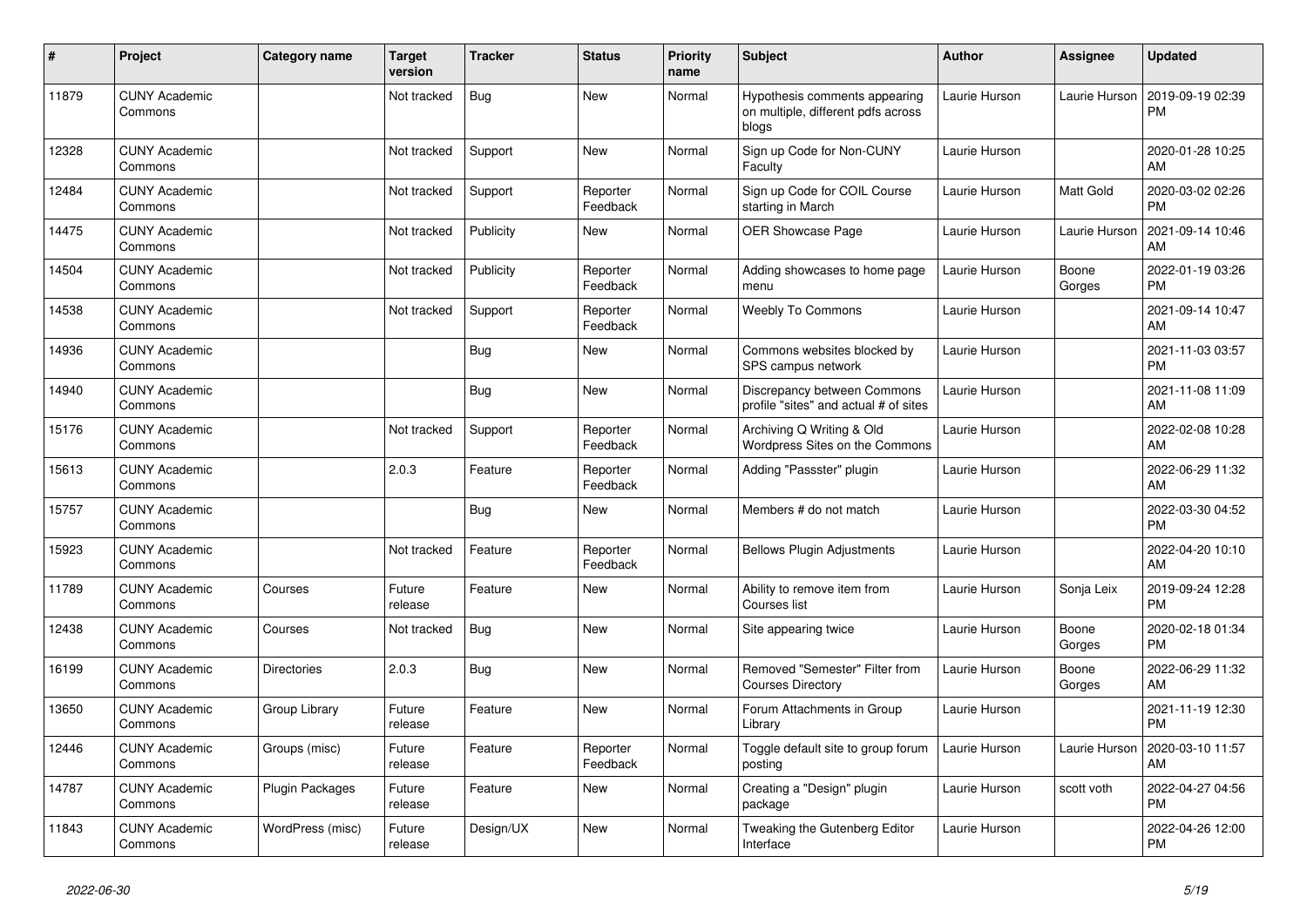| #     | Project                         | Category name          | Target<br>version | <b>Tracker</b> | <b>Status</b>        | <b>Priority</b><br>name | <b>Subject</b>                                                               | <b>Author</b> | <b>Assignee</b> | <b>Updated</b>                |
|-------|---------------------------------|------------------------|-------------------|----------------|----------------------|-------------------------|------------------------------------------------------------------------------|---------------|-----------------|-------------------------------|
| 11879 | <b>CUNY Academic</b><br>Commons |                        | Not tracked       | <b>Bug</b>     | <b>New</b>           | Normal                  | Hypothesis comments appearing<br>on multiple, different pdfs across<br>blogs | Laurie Hurson | Laurie Hurson   | 2019-09-19 02:39<br><b>PM</b> |
| 12328 | <b>CUNY Academic</b><br>Commons |                        | Not tracked       | Support        | <b>New</b>           | Normal                  | Sign up Code for Non-CUNY<br>Faculty                                         | Laurie Hurson |                 | 2020-01-28 10:25<br>AM        |
| 12484 | <b>CUNY Academic</b><br>Commons |                        | Not tracked       | Support        | Reporter<br>Feedback | Normal                  | Sign up Code for COIL Course<br>starting in March                            | Laurie Hurson | Matt Gold       | 2020-03-02 02:26<br><b>PM</b> |
| 14475 | <b>CUNY Academic</b><br>Commons |                        | Not tracked       | Publicity      | <b>New</b>           | Normal                  | OER Showcase Page                                                            | Laurie Hurson | Laurie Hurson   | 2021-09-14 10:46<br>AM        |
| 14504 | <b>CUNY Academic</b><br>Commons |                        | Not tracked       | Publicity      | Reporter<br>Feedback | Normal                  | Adding showcases to home page<br>menu                                        | Laurie Hurson | Boone<br>Gorges | 2022-01-19 03:26<br><b>PM</b> |
| 14538 | <b>CUNY Academic</b><br>Commons |                        | Not tracked       | Support        | Reporter<br>Feedback | Normal                  | <b>Weebly To Commons</b>                                                     | Laurie Hurson |                 | 2021-09-14 10:47<br>AM        |
| 14936 | <b>CUNY Academic</b><br>Commons |                        |                   | <b>Bug</b>     | <b>New</b>           | Normal                  | Commons websites blocked by<br>SPS campus network                            | Laurie Hurson |                 | 2021-11-03 03:57<br><b>PM</b> |
| 14940 | <b>CUNY Academic</b><br>Commons |                        |                   | Bug            | New                  | Normal                  | Discrepancy between Commons<br>profile "sites" and actual # of sites         | Laurie Hurson |                 | 2021-11-08 11:09<br>AM        |
| 15176 | <b>CUNY Academic</b><br>Commons |                        | Not tracked       | Support        | Reporter<br>Feedback | Normal                  | Archiving Q Writing & Old<br>Wordpress Sites on the Commons                  | Laurie Hurson |                 | 2022-02-08 10:28<br>AM        |
| 15613 | <b>CUNY Academic</b><br>Commons |                        | 2.0.3             | Feature        | Reporter<br>Feedback | Normal                  | Adding "Passster" plugin                                                     | Laurie Hurson |                 | 2022-06-29 11:32<br>AM        |
| 15757 | <b>CUNY Academic</b><br>Commons |                        |                   | Bug            | New                  | Normal                  | Members # do not match                                                       | Laurie Hurson |                 | 2022-03-30 04:52<br><b>PM</b> |
| 15923 | <b>CUNY Academic</b><br>Commons |                        | Not tracked       | Feature        | Reporter<br>Feedback | Normal                  | <b>Bellows Plugin Adjustments</b>                                            | Laurie Hurson |                 | 2022-04-20 10:10<br>AM        |
| 11789 | <b>CUNY Academic</b><br>Commons | Courses                | Future<br>release | Feature        | <b>New</b>           | Normal                  | Ability to remove item from<br>Courses list                                  | Laurie Hurson | Sonja Leix      | 2019-09-24 12:28<br><b>PM</b> |
| 12438 | <b>CUNY Academic</b><br>Commons | Courses                | Not tracked       | <b>Bug</b>     | New                  | Normal                  | Site appearing twice                                                         | Laurie Hurson | Boone<br>Gorges | 2020-02-18 01:34<br><b>PM</b> |
| 16199 | <b>CUNY Academic</b><br>Commons | <b>Directories</b>     | 2.0.3             | Bug            | <b>New</b>           | Normal                  | Removed "Semester" Filter from<br><b>Courses Directory</b>                   | Laurie Hurson | Boone<br>Gorges | 2022-06-29 11:32<br>AM        |
| 13650 | <b>CUNY Academic</b><br>Commons | Group Library          | Future<br>release | Feature        | <b>New</b>           | Normal                  | Forum Attachments in Group<br>Library                                        | Laurie Hurson |                 | 2021-11-19 12:30<br><b>PM</b> |
| 12446 | <b>CUNY Academic</b><br>Commons | Groups (misc)          | Future<br>release | Feature        | Reporter<br>Feedback | Normal                  | Toggle default site to group forum<br>posting                                | Laurie Hurson | Laurie Hurson   | 2020-03-10 11:57<br>AM        |
| 14787 | <b>CUNY Academic</b><br>Commons | <b>Plugin Packages</b> | Future<br>release | Feature        | New                  | Normal                  | Creating a "Design" plugin<br>package                                        | Laurie Hurson | scott voth      | 2022-04-27 04:56<br><b>PM</b> |
| 11843 | <b>CUNY Academic</b><br>Commons | WordPress (misc)       | Future<br>release | Design/UX      | <b>New</b>           | Normal                  | Tweaking the Gutenberg Editor<br>Interface                                   | Laurie Hurson |                 | 2022-04-26 12:00<br><b>PM</b> |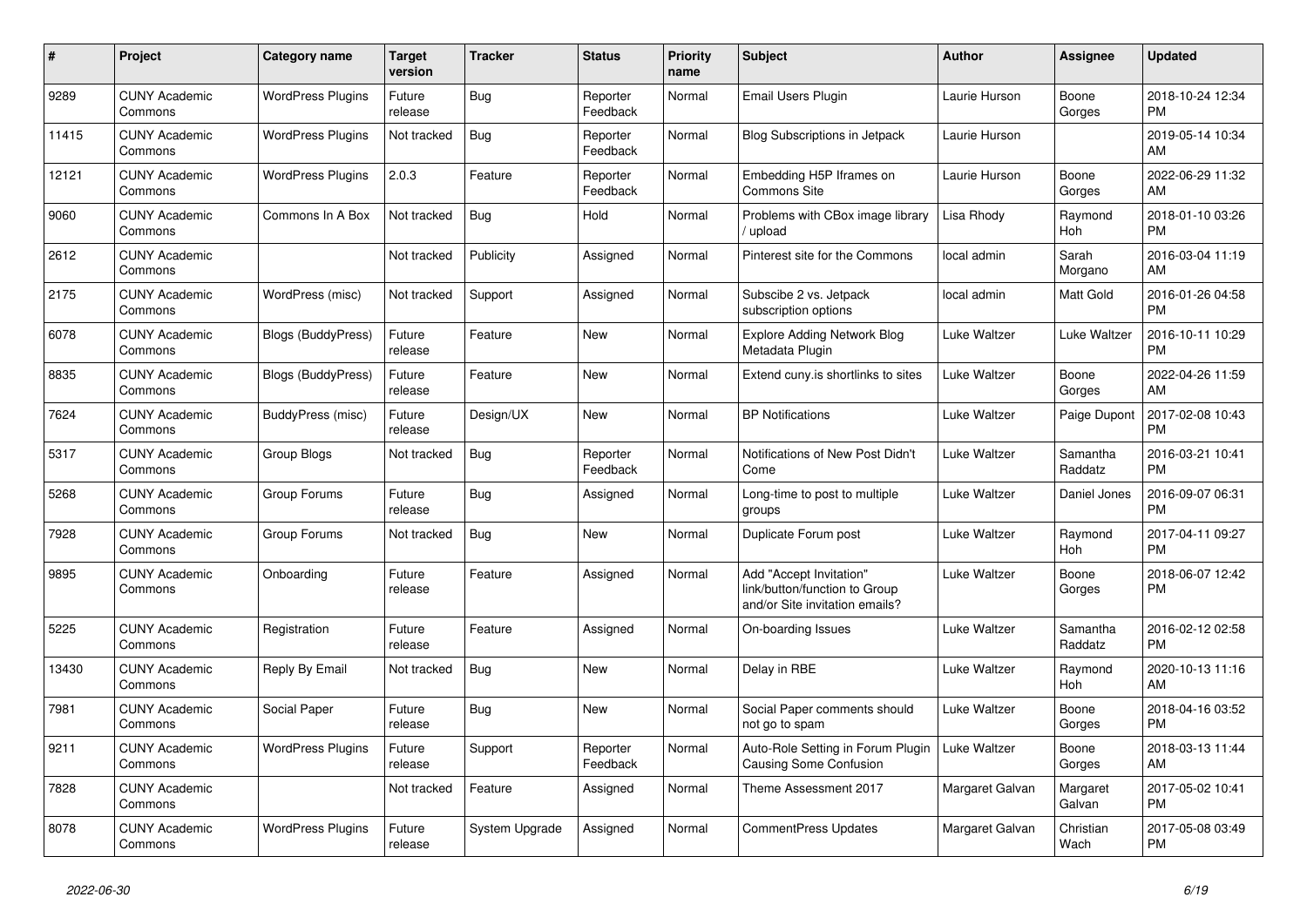| #     | Project                         | <b>Category name</b>      | Target<br>version | <b>Tracker</b> | <b>Status</b>        | Priority<br>name | <b>Subject</b>                                                                             | <b>Author</b>   | <b>Assignee</b>     | <b>Updated</b>                |
|-------|---------------------------------|---------------------------|-------------------|----------------|----------------------|------------------|--------------------------------------------------------------------------------------------|-----------------|---------------------|-------------------------------|
| 9289  | <b>CUNY Academic</b><br>Commons | <b>WordPress Plugins</b>  | Future<br>release | Bug            | Reporter<br>Feedback | Normal           | Email Users Plugin                                                                         | Laurie Hurson   | Boone<br>Gorges     | 2018-10-24 12:34<br><b>PM</b> |
| 11415 | <b>CUNY Academic</b><br>Commons | <b>WordPress Plugins</b>  | Not tracked       | <b>Bug</b>     | Reporter<br>Feedback | Normal           | <b>Blog Subscriptions in Jetpack</b>                                                       | Laurie Hurson   |                     | 2019-05-14 10:34<br>AM        |
| 12121 | <b>CUNY Academic</b><br>Commons | <b>WordPress Plugins</b>  | 2.0.3             | Feature        | Reporter<br>Feedback | Normal           | Embedding H5P Iframes on<br><b>Commons Site</b>                                            | Laurie Hurson   | Boone<br>Gorges     | 2022-06-29 11:32<br>AM        |
| 9060  | <b>CUNY Academic</b><br>Commons | Commons In A Box          | Not tracked       | <b>Bug</b>     | Hold                 | Normal           | Problems with CBox image library<br>/ upload                                               | Lisa Rhody      | Raymond<br>Hoh      | 2018-01-10 03:26<br><b>PM</b> |
| 2612  | <b>CUNY Academic</b><br>Commons |                           | Not tracked       | Publicity      | Assigned             | Normal           | Pinterest site for the Commons                                                             | local admin     | Sarah<br>Morgano    | 2016-03-04 11:19<br>AM        |
| 2175  | <b>CUNY Academic</b><br>Commons | WordPress (misc)          | Not tracked       | Support        | Assigned             | Normal           | Subscibe 2 vs. Jetpack<br>subscription options                                             | local admin     | Matt Gold           | 2016-01-26 04:58<br><b>PM</b> |
| 6078  | <b>CUNY Academic</b><br>Commons | <b>Blogs (BuddyPress)</b> | Future<br>release | Feature        | <b>New</b>           | Normal           | <b>Explore Adding Network Blog</b><br>Metadata Plugin                                      | Luke Waltzer    | Luke Waltzer        | 2016-10-11 10:29<br><b>PM</b> |
| 8835  | <b>CUNY Academic</b><br>Commons | Blogs (BuddyPress)        | Future<br>release | Feature        | New                  | Normal           | Extend cuny.is shortlinks to sites                                                         | Luke Waltzer    | Boone<br>Gorges     | 2022-04-26 11:59<br>AM        |
| 7624  | <b>CUNY Academic</b><br>Commons | BuddyPress (misc)         | Future<br>release | Design/UX      | <b>New</b>           | Normal           | <b>BP Notifications</b>                                                                    | Luke Waltzer    | Paige Dupont        | 2017-02-08 10:43<br><b>PM</b> |
| 5317  | <b>CUNY Academic</b><br>Commons | Group Blogs               | Not tracked       | <b>Bug</b>     | Reporter<br>Feedback | Normal           | Notifications of New Post Didn't<br>Come                                                   | Luke Waltzer    | Samantha<br>Raddatz | 2016-03-21 10:41<br><b>PM</b> |
| 5268  | <b>CUNY Academic</b><br>Commons | Group Forums              | Future<br>release | Bug            | Assigned             | Normal           | Long-time to post to multiple<br>groups                                                    | Luke Waltzer    | Daniel Jones        | 2016-09-07 06:31<br><b>PM</b> |
| 7928  | <b>CUNY Academic</b><br>Commons | Group Forums              | Not tracked       | Bug            | New                  | Normal           | Duplicate Forum post                                                                       | Luke Waltzer    | Raymond<br>Hoh      | 2017-04-11 09:27<br><b>PM</b> |
| 9895  | <b>CUNY Academic</b><br>Commons | Onboarding                | Future<br>release | Feature        | Assigned             | Normal           | Add "Accept Invitation"<br>link/button/function to Group<br>and/or Site invitation emails? | Luke Waltzer    | Boone<br>Gorges     | 2018-06-07 12:42<br><b>PM</b> |
| 5225  | <b>CUNY Academic</b><br>Commons | Registration              | Future<br>release | Feature        | Assigned             | Normal           | On-boarding Issues                                                                         | Luke Waltzer    | Samantha<br>Raddatz | 2016-02-12 02:58<br><b>PM</b> |
| 13430 | <b>CUNY Academic</b><br>Commons | Reply By Email            | Not tracked       | Bug            | New                  | Normal           | Delay in RBE                                                                               | Luke Waltzer    | Raymond<br>Hoh      | 2020-10-13 11:16<br><b>AM</b> |
| 7981  | <b>CUNY Academic</b><br>Commons | Social Paper              | Future<br>release | Bug            | <b>New</b>           | Normal           | Social Paper comments should<br>not go to spam                                             | Luke Waltzer    | Boone<br>Gorges     | 2018-04-16 03:52<br><b>PM</b> |
| 9211  | <b>CUNY Academic</b><br>Commons | <b>WordPress Plugins</b>  | Future<br>release | Support        | Reporter<br>Feedback | Normal           | Auto-Role Setting in Forum Plugin<br>Causing Some Confusion                                | Luke Waltzer    | Boone<br>Gorges     | 2018-03-13 11:44<br>AM        |
| 7828  | <b>CUNY Academic</b><br>Commons |                           | Not tracked       | Feature        | Assigned             | Normal           | Theme Assessment 2017                                                                      | Margaret Galvan | Margaret<br>Galvan  | 2017-05-02 10:41<br><b>PM</b> |
| 8078  | <b>CUNY Academic</b><br>Commons | <b>WordPress Plugins</b>  | Future<br>release | System Upgrade | Assigned             | Normal           | <b>CommentPress Updates</b>                                                                | Margaret Galvan | Christian<br>Wach   | 2017-05-08 03:49<br><b>PM</b> |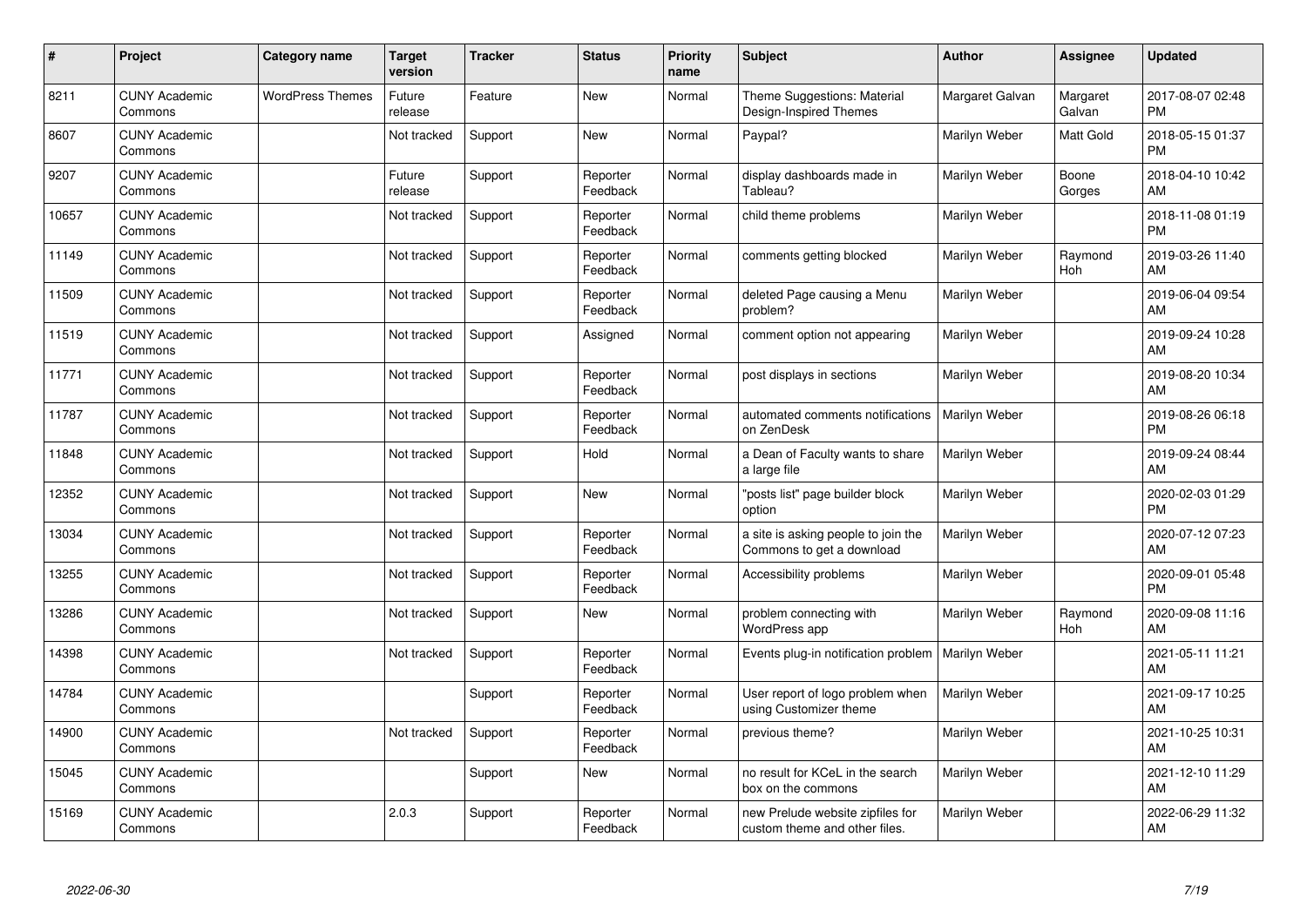| #     | Project                         | Category name           | <b>Target</b><br>version | <b>Tracker</b> | <b>Status</b>        | <b>Priority</b><br>name | <b>Subject</b>                                                    | Author          | Assignee           | <b>Updated</b>                |
|-------|---------------------------------|-------------------------|--------------------------|----------------|----------------------|-------------------------|-------------------------------------------------------------------|-----------------|--------------------|-------------------------------|
| 8211  | <b>CUNY Academic</b><br>Commons | <b>WordPress Themes</b> | Future<br>release        | Feature        | <b>New</b>           | Normal                  | Theme Suggestions: Material<br>Design-Inspired Themes             | Margaret Galvan | Margaret<br>Galvan | 2017-08-07 02:48<br><b>PM</b> |
| 8607  | <b>CUNY Academic</b><br>Commons |                         | Not tracked              | Support        | New                  | Normal                  | Paypal?                                                           | Marilyn Weber   | Matt Gold          | 2018-05-15 01:37<br><b>PM</b> |
| 9207  | <b>CUNY Academic</b><br>Commons |                         | Future<br>release        | Support        | Reporter<br>Feedback | Normal                  | display dashboards made in<br>Tableau?                            | Marilyn Weber   | Boone<br>Gorges    | 2018-04-10 10:42<br>AM        |
| 10657 | <b>CUNY Academic</b><br>Commons |                         | Not tracked              | Support        | Reporter<br>Feedback | Normal                  | child theme problems                                              | Marilyn Weber   |                    | 2018-11-08 01:19<br><b>PM</b> |
| 11149 | <b>CUNY Academic</b><br>Commons |                         | Not tracked              | Support        | Reporter<br>Feedback | Normal                  | comments getting blocked                                          | Marilyn Weber   | Raymond<br>Hoh     | 2019-03-26 11:40<br>AM        |
| 11509 | <b>CUNY Academic</b><br>Commons |                         | Not tracked              | Support        | Reporter<br>Feedback | Normal                  | deleted Page causing a Menu<br>problem?                           | Marilyn Weber   |                    | 2019-06-04 09:54<br>AM        |
| 11519 | <b>CUNY Academic</b><br>Commons |                         | Not tracked              | Support        | Assigned             | Normal                  | comment option not appearing                                      | Marilyn Weber   |                    | 2019-09-24 10:28<br>AM        |
| 11771 | <b>CUNY Academic</b><br>Commons |                         | Not tracked              | Support        | Reporter<br>Feedback | Normal                  | post displays in sections                                         | Marilyn Weber   |                    | 2019-08-20 10:34<br>AM        |
| 11787 | <b>CUNY Academic</b><br>Commons |                         | Not tracked              | Support        | Reporter<br>Feedback | Normal                  | automated comments notifications<br>on ZenDesk                    | Marilyn Weber   |                    | 2019-08-26 06:18<br><b>PM</b> |
| 11848 | <b>CUNY Academic</b><br>Commons |                         | Not tracked              | Support        | Hold                 | Normal                  | a Dean of Faculty wants to share<br>a large file                  | Marilyn Weber   |                    | 2019-09-24 08:44<br>AM        |
| 12352 | <b>CUNY Academic</b><br>Commons |                         | Not tracked              | Support        | <b>New</b>           | Normal                  | "posts list" page builder block<br>option                         | Marilyn Weber   |                    | 2020-02-03 01:29<br><b>PM</b> |
| 13034 | <b>CUNY Academic</b><br>Commons |                         | Not tracked              | Support        | Reporter<br>Feedback | Normal                  | a site is asking people to join the<br>Commons to get a download  | Marilyn Weber   |                    | 2020-07-12 07:23<br>AM        |
| 13255 | <b>CUNY Academic</b><br>Commons |                         | Not tracked              | Support        | Reporter<br>Feedback | Normal                  | Accessibility problems                                            | Marilyn Weber   |                    | 2020-09-01 05:48<br><b>PM</b> |
| 13286 | <b>CUNY Academic</b><br>Commons |                         | Not tracked              | Support        | <b>New</b>           | Normal                  | problem connecting with<br><b>WordPress app</b>                   | Marilyn Weber   | Raymond<br>Hoh     | 2020-09-08 11:16<br>AM        |
| 14398 | <b>CUNY Academic</b><br>Commons |                         | Not tracked              | Support        | Reporter<br>Feedback | Normal                  | Events plug-in notification problem                               | Marilyn Weber   |                    | 2021-05-11 11:21<br>AM        |
| 14784 | <b>CUNY Academic</b><br>Commons |                         |                          | Support        | Reporter<br>Feedback | Normal                  | User report of logo problem when<br>using Customizer theme        | Marilyn Weber   |                    | 2021-09-17 10:25<br>AM        |
| 14900 | <b>CUNY Academic</b><br>Commons |                         | Not tracked              | Support        | Reporter<br>Feedback | Normal                  | previous theme?                                                   | Marilyn Weber   |                    | 2021-10-25 10:31<br>AM        |
| 15045 | <b>CUNY Academic</b><br>Commons |                         |                          | Support        | New                  | Normal                  | no result for KCeL in the search<br>box on the commons            | Marilyn Weber   |                    | 2021-12-10 11:29<br>AM        |
| 15169 | <b>CUNY Academic</b><br>Commons |                         | 2.0.3                    | Support        | Reporter<br>Feedback | Normal                  | new Prelude website zipfiles for<br>custom theme and other files. | Marilyn Weber   |                    | 2022-06-29 11:32<br>AM        |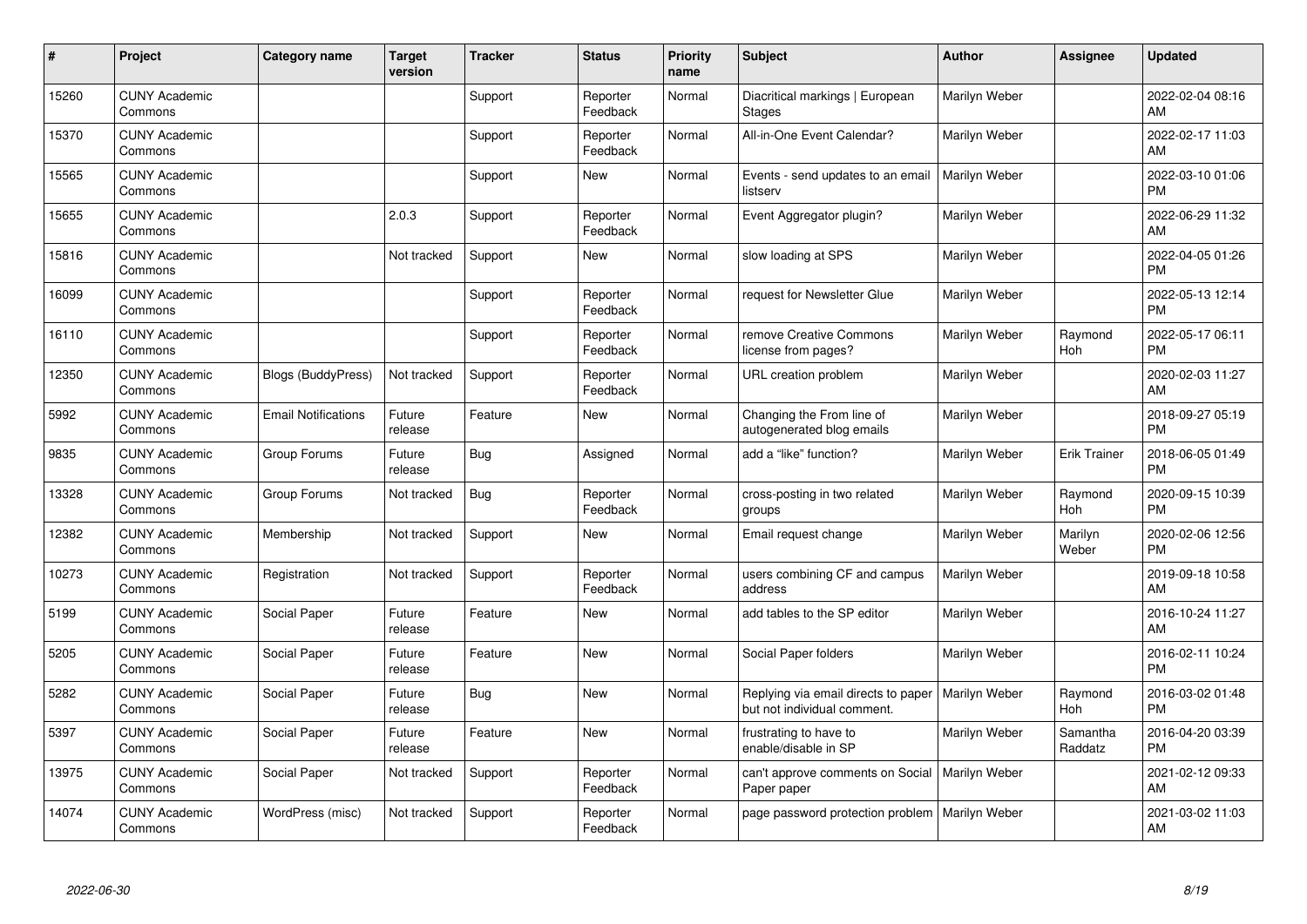| #     | Project                         | <b>Category name</b>       | <b>Target</b><br>version | <b>Tracker</b> | <b>Status</b>        | <b>Priority</b><br>name | <b>Subject</b>                                                     | <b>Author</b> | Assignee            | <b>Updated</b>                |
|-------|---------------------------------|----------------------------|--------------------------|----------------|----------------------|-------------------------|--------------------------------------------------------------------|---------------|---------------------|-------------------------------|
| 15260 | <b>CUNY Academic</b><br>Commons |                            |                          | Support        | Reporter<br>Feedback | Normal                  | Diacritical markings   European<br><b>Stages</b>                   | Marilyn Weber |                     | 2022-02-04 08:16<br>AM        |
| 15370 | <b>CUNY Academic</b><br>Commons |                            |                          | Support        | Reporter<br>Feedback | Normal                  | All-in-One Event Calendar?                                         | Marilyn Weber |                     | 2022-02-17 11:03<br>AM.       |
| 15565 | <b>CUNY Academic</b><br>Commons |                            |                          | Support        | New                  | Normal                  | Events - send updates to an email<br>listserv                      | Marilyn Weber |                     | 2022-03-10 01:06<br><b>PM</b> |
| 15655 | <b>CUNY Academic</b><br>Commons |                            | 2.0.3                    | Support        | Reporter<br>Feedback | Normal                  | Event Aggregator plugin?                                           | Marilyn Weber |                     | 2022-06-29 11:32<br>AM        |
| 15816 | <b>CUNY Academic</b><br>Commons |                            | Not tracked              | Support        | New                  | Normal                  | slow loading at SPS                                                | Marilyn Weber |                     | 2022-04-05 01:26<br><b>PM</b> |
| 16099 | <b>CUNY Academic</b><br>Commons |                            |                          | Support        | Reporter<br>Feedback | Normal                  | request for Newsletter Glue                                        | Marilyn Weber |                     | 2022-05-13 12:14<br><b>PM</b> |
| 16110 | <b>CUNY Academic</b><br>Commons |                            |                          | Support        | Reporter<br>Feedback | Normal                  | remove Creative Commons<br>license from pages?                     | Marilyn Weber | Raymond<br>Hoh      | 2022-05-17 06:11<br><b>PM</b> |
| 12350 | <b>CUNY Academic</b><br>Commons | <b>Blogs (BuddyPress)</b>  | Not tracked              | Support        | Reporter<br>Feedback | Normal                  | URL creation problem                                               | Marilyn Weber |                     | 2020-02-03 11:27<br>AM        |
| 5992  | <b>CUNY Academic</b><br>Commons | <b>Email Notifications</b> | Future<br>release        | Feature        | New                  | Normal                  | Changing the From line of<br>autogenerated blog emails             | Marilyn Weber |                     | 2018-09-27 05:19<br><b>PM</b> |
| 9835  | <b>CUNY Academic</b><br>Commons | Group Forums               | Future<br>release        | Bug            | Assigned             | Normal                  | add a "like" function?                                             | Marilyn Weber | <b>Erik Trainer</b> | 2018-06-05 01:49<br><b>PM</b> |
| 13328 | <b>CUNY Academic</b><br>Commons | Group Forums               | Not tracked              | Bug            | Reporter<br>Feedback | Normal                  | cross-posting in two related<br>groups                             | Marilyn Weber | Raymond<br>Hoh      | 2020-09-15 10:39<br><b>PM</b> |
| 12382 | <b>CUNY Academic</b><br>Commons | Membership                 | Not tracked              | Support        | New                  | Normal                  | Email request change                                               | Marilyn Weber | Marilyn<br>Weber    | 2020-02-06 12:56<br><b>PM</b> |
| 10273 | <b>CUNY Academic</b><br>Commons | Registration               | Not tracked              | Support        | Reporter<br>Feedback | Normal                  | users combining CF and campus<br>address                           | Marilyn Weber |                     | 2019-09-18 10:58<br><b>AM</b> |
| 5199  | <b>CUNY Academic</b><br>Commons | Social Paper               | Future<br>release        | Feature        | <b>New</b>           | Normal                  | add tables to the SP editor                                        | Marilyn Weber |                     | 2016-10-24 11:27<br>AM.       |
| 5205  | <b>CUNY Academic</b><br>Commons | Social Paper               | Future<br>release        | Feature        | New                  | Normal                  | Social Paper folders                                               | Marilyn Weber |                     | 2016-02-11 10:24<br><b>PM</b> |
| 5282  | <b>CUNY Academic</b><br>Commons | Social Paper               | Future<br>release        | Bug            | New                  | Normal                  | Replying via email directs to paper<br>but not individual comment. | Marilyn Weber | Raymond<br>Hoh      | 2016-03-02 01:48<br><b>PM</b> |
| 5397  | <b>CUNY Academic</b><br>Commons | Social Paper               | Future<br>release        | Feature        | <b>New</b>           | Normal                  | frustrating to have to<br>enable/disable in SP                     | Marilyn Weber | Samantha<br>Raddatz | 2016-04-20 03:39<br><b>PM</b> |
| 13975 | <b>CUNY Academic</b><br>Commons | Social Paper               | Not tracked              | Support        | Reporter<br>Feedback | Normal                  | can't approve comments on Social<br>Paper paper                    | Marilyn Weber |                     | 2021-02-12 09:33<br>AM        |
| 14074 | <b>CUNY Academic</b><br>Commons | WordPress (misc)           | Not tracked              | Support        | Reporter<br>Feedback | Normal                  | page password protection problem                                   | Marilyn Weber |                     | 2021-03-02 11:03<br>AM        |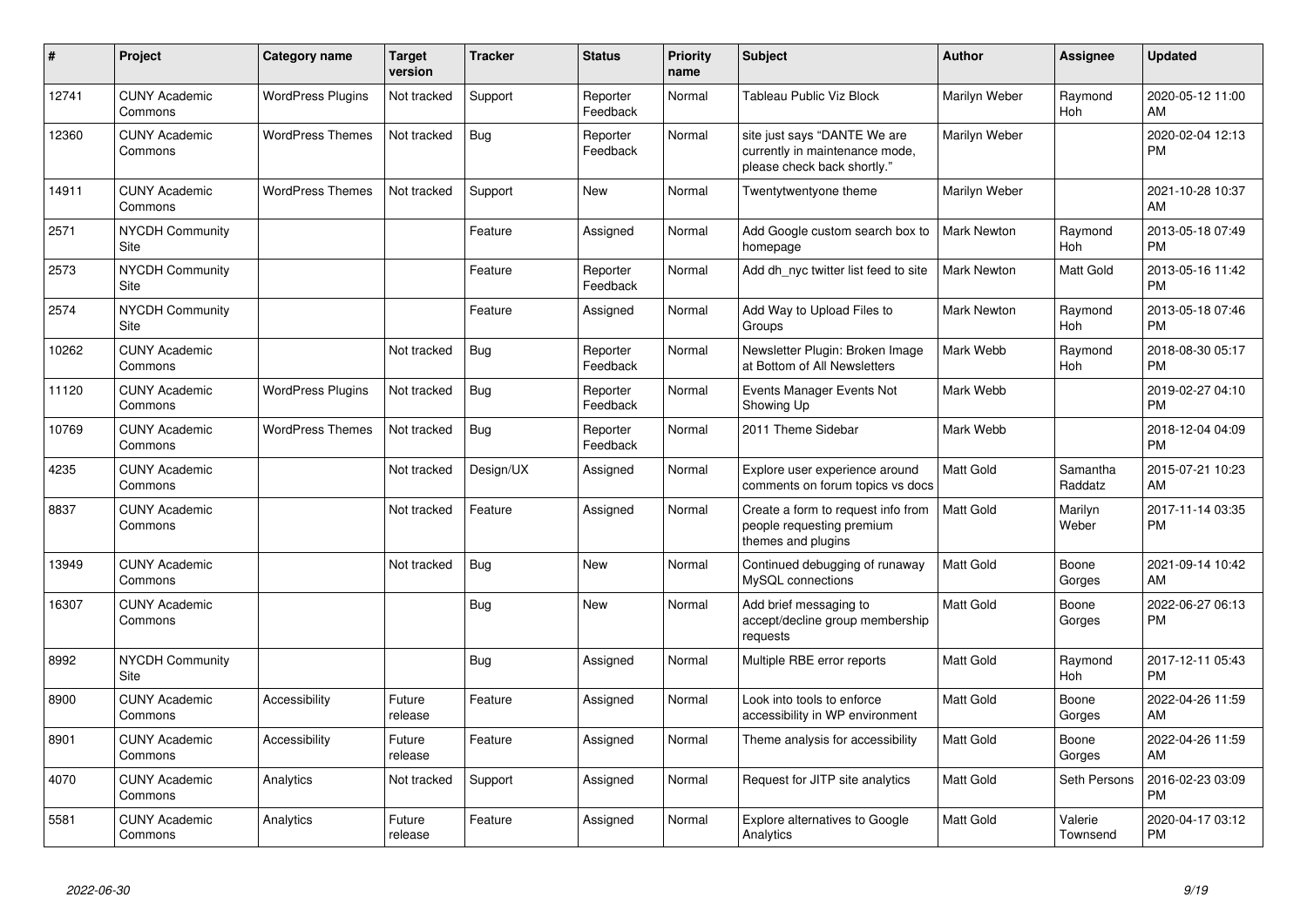| #     | Project                         | <b>Category name</b>     | <b>Target</b><br>version | <b>Tracker</b> | <b>Status</b>        | <b>Priority</b><br>name | <b>Subject</b>                                                                                | <b>Author</b>      | <b>Assignee</b>       | <b>Updated</b>                |
|-------|---------------------------------|--------------------------|--------------------------|----------------|----------------------|-------------------------|-----------------------------------------------------------------------------------------------|--------------------|-----------------------|-------------------------------|
| 12741 | <b>CUNY Academic</b><br>Commons | <b>WordPress Plugins</b> | Not tracked              | Support        | Reporter<br>Feedback | Normal                  | Tableau Public Viz Block                                                                      | Marilyn Weber      | Raymond<br><b>Hoh</b> | 2020-05-12 11:00<br>AM        |
| 12360 | <b>CUNY Academic</b><br>Commons | <b>WordPress Themes</b>  | Not tracked              | Bug            | Reporter<br>Feedback | Normal                  | site just says "DANTE We are<br>currently in maintenance mode,<br>please check back shortly." | Marilyn Weber      |                       | 2020-02-04 12:13<br><b>PM</b> |
| 14911 | <b>CUNY Academic</b><br>Commons | <b>WordPress Themes</b>  | Not tracked              | Support        | New                  | Normal                  | Twentytwentyone theme                                                                         | Marilyn Weber      |                       | 2021-10-28 10:37<br>AM        |
| 2571  | <b>NYCDH Community</b><br>Site  |                          |                          | Feature        | Assigned             | Normal                  | Add Google custom search box to<br>homepage                                                   | <b>Mark Newton</b> | Raymond<br>Hoh        | 2013-05-18 07:49<br><b>PM</b> |
| 2573  | <b>NYCDH Community</b><br>Site  |                          |                          | Feature        | Reporter<br>Feedback | Normal                  | Add dh nyc twitter list feed to site                                                          | <b>Mark Newton</b> | Matt Gold             | 2013-05-16 11:42<br><b>PM</b> |
| 2574  | <b>NYCDH Community</b><br>Site  |                          |                          | Feature        | Assigned             | Normal                  | Add Way to Upload Files to<br>Groups                                                          | <b>Mark Newton</b> | Raymond<br>Hoh        | 2013-05-18 07:46<br><b>PM</b> |
| 10262 | <b>CUNY Academic</b><br>Commons |                          | Not tracked              | <b>Bug</b>     | Reporter<br>Feedback | Normal                  | Newsletter Plugin: Broken Image<br>at Bottom of All Newsletters                               | Mark Webb          | Raymond<br>Hoh        | 2018-08-30 05:17<br><b>PM</b> |
| 11120 | <b>CUNY Academic</b><br>Commons | <b>WordPress Plugins</b> | Not tracked              | Bug            | Reporter<br>Feedback | Normal                  | Events Manager Events Not<br>Showing Up                                                       | Mark Webb          |                       | 2019-02-27 04:10<br><b>PM</b> |
| 10769 | <b>CUNY Academic</b><br>Commons | <b>WordPress Themes</b>  | Not tracked              | Bug            | Reporter<br>Feedback | Normal                  | 2011 Theme Sidebar                                                                            | Mark Webb          |                       | 2018-12-04 04:09<br><b>PM</b> |
| 4235  | <b>CUNY Academic</b><br>Commons |                          | Not tracked              | Design/UX      | Assigned             | Normal                  | Explore user experience around<br>comments on forum topics vs docs                            | <b>Matt Gold</b>   | Samantha<br>Raddatz   | 2015-07-21 10:23<br>AM        |
| 8837  | <b>CUNY Academic</b><br>Commons |                          | Not tracked              | Feature        | Assigned             | Normal                  | Create a form to request info from<br>people requesting premium<br>themes and plugins         | <b>Matt Gold</b>   | Marilyn<br>Weber      | 2017-11-14 03:35<br><b>PM</b> |
| 13949 | <b>CUNY Academic</b><br>Commons |                          | Not tracked              | <b>Bug</b>     | New                  | Normal                  | Continued debugging of runaway<br>MySQL connections                                           | <b>Matt Gold</b>   | Boone<br>Gorges       | 2021-09-14 10:42<br>AM        |
| 16307 | <b>CUNY Academic</b><br>Commons |                          |                          | <b>Bug</b>     | New                  | Normal                  | Add brief messaging to<br>accept/decline group membership<br>requests                         | <b>Matt Gold</b>   | Boone<br>Gorges       | 2022-06-27 06:13<br><b>PM</b> |
| 8992  | <b>NYCDH Community</b><br>Site  |                          |                          | <b>Bug</b>     | Assigned             | Normal                  | Multiple RBE error reports                                                                    | Matt Gold          | Raymond<br>Hoh        | 2017-12-11 05:43<br><b>PM</b> |
| 8900  | <b>CUNY Academic</b><br>Commons | Accessibility            | Future<br>release        | Feature        | Assigned             | Normal                  | Look into tools to enforce<br>accessibility in WP environment                                 | <b>Matt Gold</b>   | Boone<br>Gorges       | 2022-04-26 11:59<br>AM        |
| 8901  | <b>CUNY Academic</b><br>Commons | Accessibility            | Future<br>release        | Feature        | Assigned             | Normal                  | Theme analysis for accessibility                                                              | <b>Matt Gold</b>   | Boone<br>Gorges       | 2022-04-26 11:59<br>AM        |
| 4070  | <b>CUNY Academic</b><br>Commons | Analytics                | Not tracked              | Support        | Assigned             | Normal                  | Request for JITP site analytics                                                               | <b>Matt Gold</b>   | Seth Persons          | 2016-02-23 03:09<br><b>PM</b> |
| 5581  | <b>CUNY Academic</b><br>Commons | Analytics                | Future<br>release        | Feature        | Assigned             | Normal                  | <b>Explore alternatives to Google</b><br>Analytics                                            | <b>Matt Gold</b>   | Valerie<br>Townsend   | 2020-04-17 03:12<br><b>PM</b> |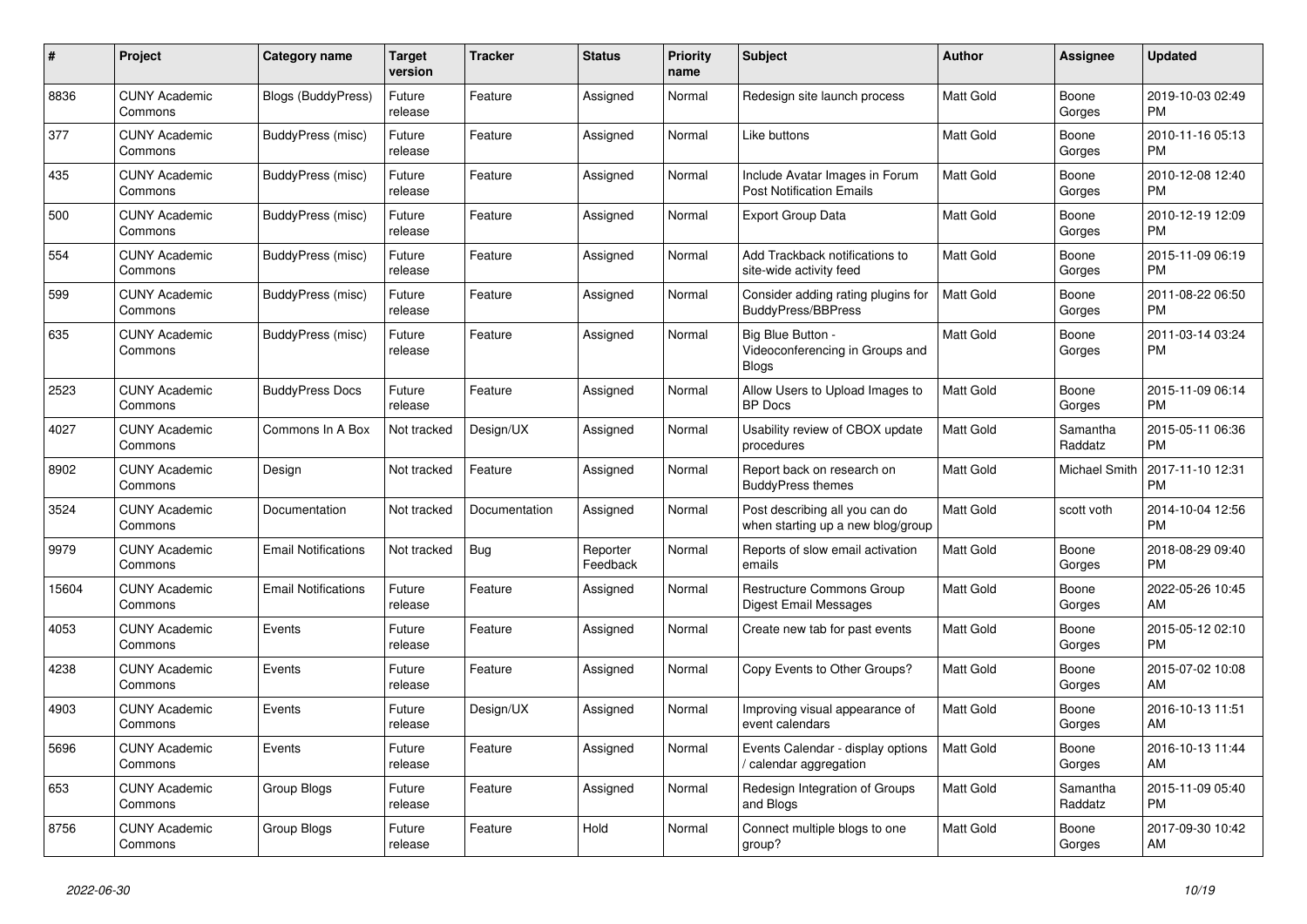| #     | <b>Project</b>                  | Category name              | Target<br>version | <b>Tracker</b> | <b>Status</b>        | <b>Priority</b><br>name | <b>Subject</b>                                                       | <b>Author</b>    | Assignee             | <b>Updated</b>                |
|-------|---------------------------------|----------------------------|-------------------|----------------|----------------------|-------------------------|----------------------------------------------------------------------|------------------|----------------------|-------------------------------|
| 8836  | <b>CUNY Academic</b><br>Commons | Blogs (BuddyPress)         | Future<br>release | Feature        | Assigned             | Normal                  | Redesign site launch process                                         | Matt Gold        | Boone<br>Gorges      | 2019-10-03 02:49<br><b>PM</b> |
| 377   | <b>CUNY Academic</b><br>Commons | BuddyPress (misc)          | Future<br>release | Feature        | Assigned             | Normal                  | Like buttons                                                         | Matt Gold        | Boone<br>Gorges      | 2010-11-16 05:13<br>PM.       |
| 435   | <b>CUNY Academic</b><br>Commons | BuddyPress (misc)          | Future<br>release | Feature        | Assigned             | Normal                  | Include Avatar Images in Forum<br><b>Post Notification Emails</b>    | Matt Gold        | Boone<br>Gorges      | 2010-12-08 12:40<br><b>PM</b> |
| 500   | <b>CUNY Academic</b><br>Commons | BuddyPress (misc)          | Future<br>release | Feature        | Assigned             | Normal                  | <b>Export Group Data</b>                                             | Matt Gold        | Boone<br>Gorges      | 2010-12-19 12:09<br><b>PM</b> |
| 554   | <b>CUNY Academic</b><br>Commons | BuddyPress (misc)          | Future<br>release | Feature        | Assigned             | Normal                  | Add Trackback notifications to<br>site-wide activity feed            | Matt Gold        | Boone<br>Gorges      | 2015-11-09 06:19<br>PM.       |
| 599   | <b>CUNY Academic</b><br>Commons | BuddyPress (misc)          | Future<br>release | Feature        | Assigned             | Normal                  | Consider adding rating plugins for<br><b>BuddyPress/BBPress</b>      | Matt Gold        | Boone<br>Gorges      | 2011-08-22 06:50<br><b>PM</b> |
| 635   | <b>CUNY Academic</b><br>Commons | BuddyPress (misc)          | Future<br>release | Feature        | Assigned             | Normal                  | Big Blue Button -<br>Videoconferencing in Groups and<br><b>Blogs</b> | Matt Gold        | Boone<br>Gorges      | 2011-03-14 03:24<br><b>PM</b> |
| 2523  | <b>CUNY Academic</b><br>Commons | <b>BuddyPress Docs</b>     | Future<br>release | Feature        | Assigned             | Normal                  | Allow Users to Upload Images to<br><b>BP</b> Docs                    | Matt Gold        | Boone<br>Gorges      | 2015-11-09 06:14<br><b>PM</b> |
| 4027  | <b>CUNY Academic</b><br>Commons | Commons In A Box           | Not tracked       | Design/UX      | Assigned             | Normal                  | Usability review of CBOX update<br>procedures                        | <b>Matt Gold</b> | Samantha<br>Raddatz  | 2015-05-11 06:36<br><b>PM</b> |
| 8902  | <b>CUNY Academic</b><br>Commons | Design                     | Not tracked       | Feature        | Assigned             | Normal                  | Report back on research on<br><b>BuddyPress themes</b>               | Matt Gold        | <b>Michael Smith</b> | 2017-11-10 12:31<br><b>PM</b> |
| 3524  | <b>CUNY Academic</b><br>Commons | Documentation              | Not tracked       | Documentation  | Assigned             | Normal                  | Post describing all you can do<br>when starting up a new blog/group  | Matt Gold        | scott voth           | 2014-10-04 12:56<br><b>PM</b> |
| 9979  | <b>CUNY Academic</b><br>Commons | <b>Email Notifications</b> | Not tracked       | Bug            | Reporter<br>Feedback | Normal                  | Reports of slow email activation<br>emails                           | Matt Gold        | Boone<br>Gorges      | 2018-08-29 09:40<br><b>PM</b> |
| 15604 | <b>CUNY Academic</b><br>Commons | <b>Email Notifications</b> | Future<br>release | Feature        | Assigned             | Normal                  | <b>Restructure Commons Group</b><br>Digest Email Messages            | <b>Matt Gold</b> | Boone<br>Gorges      | 2022-05-26 10:45<br>AM        |
| 4053  | <b>CUNY Academic</b><br>Commons | Events                     | Future<br>release | Feature        | Assigned             | Normal                  | Create new tab for past events                                       | Matt Gold        | Boone<br>Gorges      | 2015-05-12 02:10<br><b>PM</b> |
| 4238  | <b>CUNY Academic</b><br>Commons | Events                     | Future<br>release | Feature        | Assigned             | Normal                  | Copy Events to Other Groups?                                         | Matt Gold        | Boone<br>Gorges      | 2015-07-02 10:08<br>AM.       |
| 4903  | <b>CUNY Academic</b><br>Commons | Events                     | Future<br>release | Design/UX      | Assigned             | Normal                  | Improving visual appearance of<br>event calendars                    | Matt Gold        | Boone<br>Gorges      | 2016-10-13 11:51<br>AM        |
| 5696  | <b>CUNY Academic</b><br>Commons | Events                     | Future<br>release | Feature        | Assigned             | Normal                  | Events Calendar - display options<br>calendar aggregation            | Matt Gold        | Boone<br>Gorges      | 2016-10-13 11:44<br>AM        |
| 653   | <b>CUNY Academic</b><br>Commons | Group Blogs                | Future<br>release | Feature        | Assigned             | Normal                  | Redesign Integration of Groups<br>and Blogs                          | Matt Gold        | Samantha<br>Raddatz  | 2015-11-09 05:40<br><b>PM</b> |
| 8756  | <b>CUNY Academic</b><br>Commons | Group Blogs                | Future<br>release | Feature        | Hold                 | Normal                  | Connect multiple blogs to one<br>group?                              | Matt Gold        | Boone<br>Gorges      | 2017-09-30 10:42<br>AM        |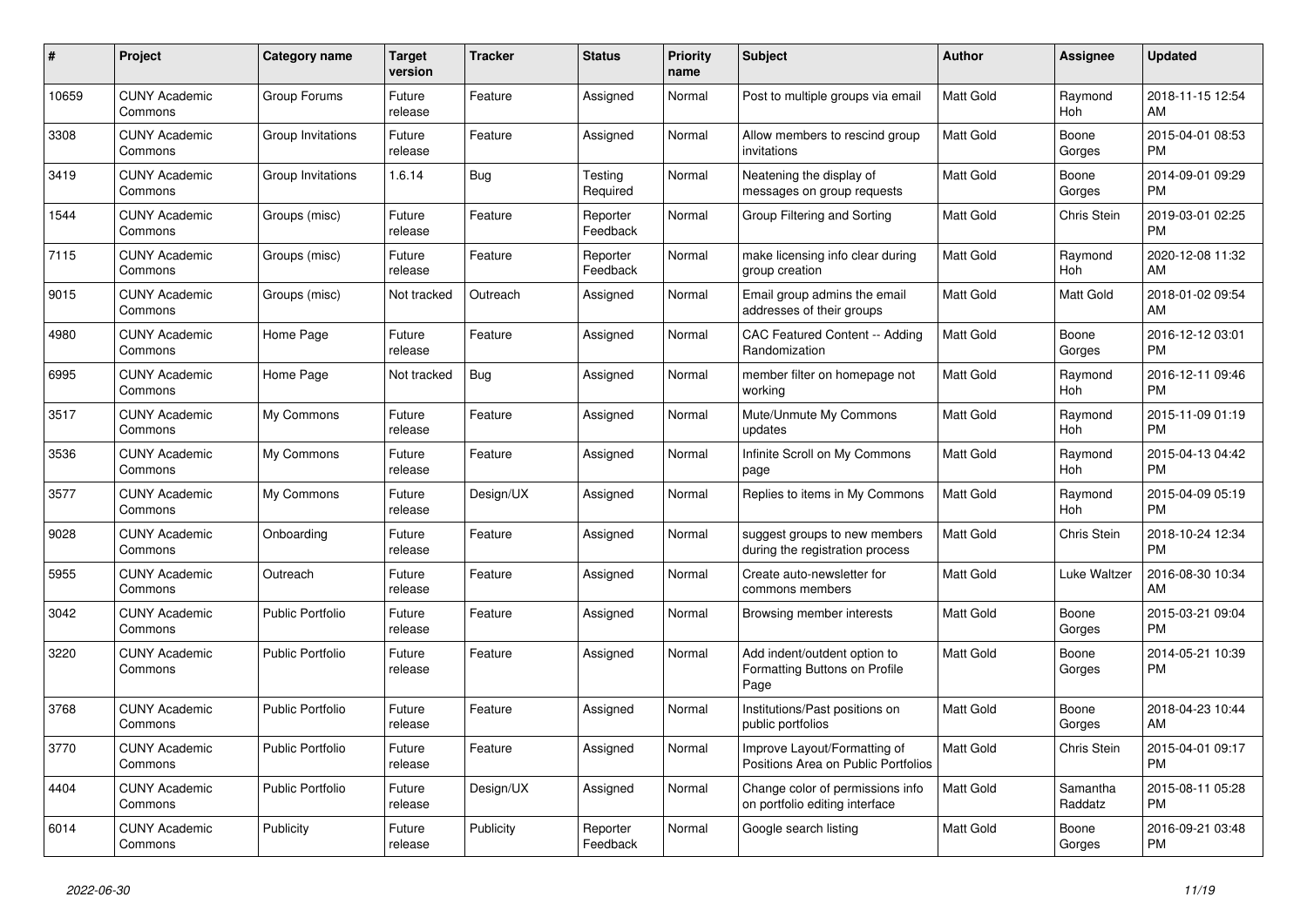| #     | Project                         | <b>Category name</b>    | <b>Target</b><br>version | <b>Tracker</b> | <b>Status</b>        | <b>Priority</b><br>name | <b>Subject</b>                                                        | <b>Author</b>    | <b>Assignee</b>     | <b>Updated</b>                |
|-------|---------------------------------|-------------------------|--------------------------|----------------|----------------------|-------------------------|-----------------------------------------------------------------------|------------------|---------------------|-------------------------------|
| 10659 | <b>CUNY Academic</b><br>Commons | Group Forums            | Future<br>release        | Feature        | Assigned             | Normal                  | Post to multiple groups via email                                     | <b>Matt Gold</b> | Raymond<br>Hoh      | 2018-11-15 12:54<br>AM        |
| 3308  | <b>CUNY Academic</b><br>Commons | Group Invitations       | Future<br>release        | Feature        | Assigned             | Normal                  | Allow members to rescind group<br>invitations                         | <b>Matt Gold</b> | Boone<br>Gorges     | 2015-04-01 08:53<br><b>PM</b> |
| 3419  | <b>CUNY Academic</b><br>Commons | Group Invitations       | 1.6.14                   | Bug            | Testing<br>Required  | Normal                  | Neatening the display of<br>messages on group requests                | Matt Gold        | Boone<br>Gorges     | 2014-09-01 09:29<br><b>PM</b> |
| 1544  | <b>CUNY Academic</b><br>Commons | Groups (misc)           | Future<br>release        | Feature        | Reporter<br>Feedback | Normal                  | Group Filtering and Sorting                                           | <b>Matt Gold</b> | <b>Chris Stein</b>  | 2019-03-01 02:25<br><b>PM</b> |
| 7115  | <b>CUNY Academic</b><br>Commons | Groups (misc)           | Future<br>release        | Feature        | Reporter<br>Feedback | Normal                  | make licensing info clear during<br>group creation                    | Matt Gold        | Raymond<br>Hoh      | 2020-12-08 11:32<br>AM        |
| 9015  | <b>CUNY Academic</b><br>Commons | Groups (misc)           | Not tracked              | Outreach       | Assigned             | Normal                  | Email group admins the email<br>addresses of their groups             | <b>Matt Gold</b> | Matt Gold           | 2018-01-02 09:54<br>AM        |
| 4980  | <b>CUNY Academic</b><br>Commons | Home Page               | Future<br>release        | Feature        | Assigned             | Normal                  | <b>CAC Featured Content -- Adding</b><br>Randomization                | <b>Matt Gold</b> | Boone<br>Gorges     | 2016-12-12 03:01<br><b>PM</b> |
| 6995  | <b>CUNY Academic</b><br>Commons | Home Page               | Not tracked              | <b>Bug</b>     | Assigned             | Normal                  | member filter on homepage not<br>working                              | <b>Matt Gold</b> | Raymond<br>Hoh      | 2016-12-11 09:46<br><b>PM</b> |
| 3517  | <b>CUNY Academic</b><br>Commons | My Commons              | Future<br>release        | Feature        | Assigned             | Normal                  | Mute/Unmute My Commons<br>updates                                     | Matt Gold        | Raymond<br>Hoh      | 2015-11-09 01:19<br><b>PM</b> |
| 3536  | <b>CUNY Academic</b><br>Commons | My Commons              | Future<br>release        | Feature        | Assigned             | Normal                  | Infinite Scroll on My Commons<br>page                                 | <b>Matt Gold</b> | Raymond<br>Hoh      | 2015-04-13 04:42<br><b>PM</b> |
| 3577  | <b>CUNY Academic</b><br>Commons | My Commons              | Future<br>release        | Design/UX      | Assigned             | Normal                  | Replies to items in My Commons                                        | <b>Matt Gold</b> | Raymond<br>Hoh      | 2015-04-09 05:19<br><b>PM</b> |
| 9028  | <b>CUNY Academic</b><br>Commons | Onboarding              | Future<br>release        | Feature        | Assigned             | Normal                  | suggest groups to new members<br>during the registration process      | Matt Gold        | Chris Stein         | 2018-10-24 12:34<br><b>PM</b> |
| 5955  | <b>CUNY Academic</b><br>Commons | Outreach                | Future<br>release        | Feature        | Assigned             | Normal                  | Create auto-newsletter for<br>commons members                         | <b>Matt Gold</b> | Luke Waltzer        | 2016-08-30 10:34<br>AM        |
| 3042  | <b>CUNY Academic</b><br>Commons | <b>Public Portfolio</b> | Future<br>release        | Feature        | Assigned             | Normal                  | Browsing member interests                                             | Matt Gold        | Boone<br>Gorges     | 2015-03-21 09:04<br><b>PM</b> |
| 3220  | <b>CUNY Academic</b><br>Commons | <b>Public Portfolio</b> | Future<br>release        | Feature        | Assigned             | Normal                  | Add indent/outdent option to<br>Formatting Buttons on Profile<br>Page | <b>Matt Gold</b> | Boone<br>Gorges     | 2014-05-21 10:39<br><b>PM</b> |
| 3768  | <b>CUNY Academic</b><br>Commons | <b>Public Portfolio</b> | Future<br>release        | Feature        | Assigned             | Normal                  | Institutions/Past positions on<br>public portfolios                   | <b>Matt Gold</b> | Boone<br>Gorges     | 2018-04-23 10:44<br>AM        |
| 3770  | <b>CUNY Academic</b><br>Commons | <b>Public Portfolio</b> | Future<br>release        | Feature        | Assigned             | Normal                  | Improve Layout/Formatting of<br>Positions Area on Public Portfolios   | <b>Matt Gold</b> | Chris Stein         | 2015-04-01 09:17<br><b>PM</b> |
| 4404  | <b>CUNY Academic</b><br>Commons | <b>Public Portfolio</b> | Future<br>release        | Design/UX      | Assigned             | Normal                  | Change color of permissions info<br>on portfolio editing interface    | <b>Matt Gold</b> | Samantha<br>Raddatz | 2015-08-11 05:28<br><b>PM</b> |
| 6014  | <b>CUNY Academic</b><br>Commons | Publicity               | Future<br>release        | Publicity      | Reporter<br>Feedback | Normal                  | Google search listing                                                 | Matt Gold        | Boone<br>Gorges     | 2016-09-21 03:48<br><b>PM</b> |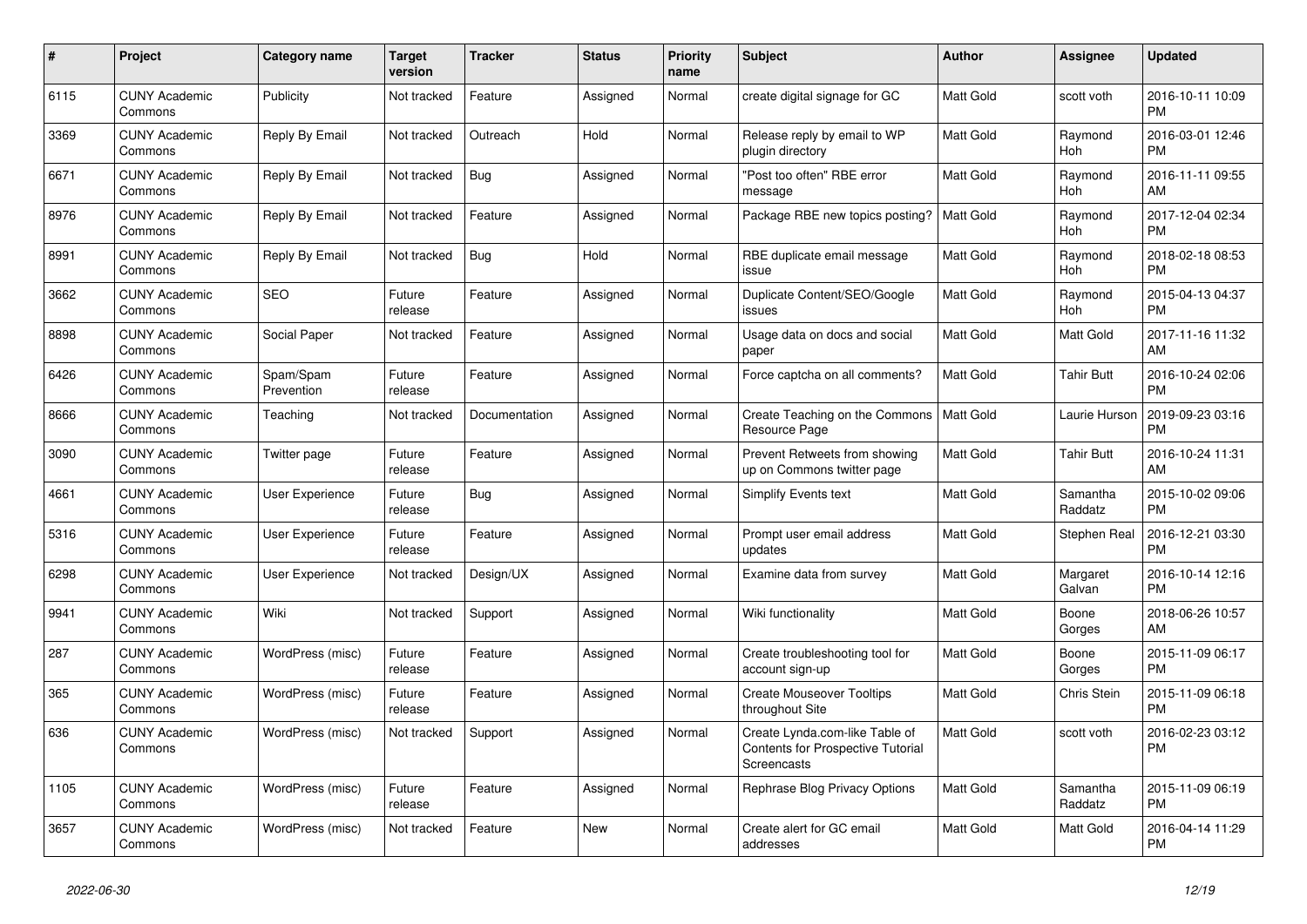| $\#$ | Project                         | Category name           | <b>Target</b><br>version | <b>Tracker</b> | <b>Status</b> | <b>Priority</b><br>name | <b>Subject</b>                                                                     | <b>Author</b>    | Assignee              | <b>Updated</b>                |
|------|---------------------------------|-------------------------|--------------------------|----------------|---------------|-------------------------|------------------------------------------------------------------------------------|------------------|-----------------------|-------------------------------|
| 6115 | <b>CUNY Academic</b><br>Commons | Publicity               | Not tracked              | Feature        | Assigned      | Normal                  | create digital signage for GC                                                      | <b>Matt Gold</b> | scott voth            | 2016-10-11 10:09<br><b>PM</b> |
| 3369 | <b>CUNY Academic</b><br>Commons | Reply By Email          | Not tracked              | Outreach       | Hold          | Normal                  | Release reply by email to WP<br>plugin directory                                   | <b>Matt Gold</b> | Raymond<br>Hoh        | 2016-03-01 12:46<br><b>PM</b> |
| 6671 | <b>CUNY Academic</b><br>Commons | Reply By Email          | Not tracked              | Bug            | Assigned      | Normal                  | 'Post too often" RBE error<br>message                                              | Matt Gold        | Raymond<br><b>Hoh</b> | 2016-11-11 09:55<br>AM        |
| 8976 | <b>CUNY Academic</b><br>Commons | Reply By Email          | Not tracked              | Feature        | Assigned      | Normal                  | Package RBE new topics posting?   Matt Gold                                        |                  | Raymond<br>Hoh        | 2017-12-04 02:34<br><b>PM</b> |
| 8991 | <b>CUNY Academic</b><br>Commons | Reply By Email          | Not tracked              | <b>Bug</b>     | Hold          | Normal                  | RBE duplicate email message<br>issue                                               | Matt Gold        | Raymond<br>Hoh        | 2018-02-18 08:53<br><b>PM</b> |
| 3662 | <b>CUNY Academic</b><br>Commons | <b>SEO</b>              | Future<br>release        | Feature        | Assigned      | Normal                  | Duplicate Content/SEO/Google<br>issues                                             | <b>Matt Gold</b> | Raymond<br>Hoh        | 2015-04-13 04:37<br><b>PM</b> |
| 8898 | <b>CUNY Academic</b><br>Commons | Social Paper            | Not tracked              | Feature        | Assigned      | Normal                  | Usage data on docs and social<br>paper                                             | <b>Matt Gold</b> | Matt Gold             | 2017-11-16 11:32<br>AM        |
| 6426 | <b>CUNY Academic</b><br>Commons | Spam/Spam<br>Prevention | Future<br>release        | Feature        | Assigned      | Normal                  | Force captcha on all comments?                                                     | <b>Matt Gold</b> | <b>Tahir Butt</b>     | 2016-10-24 02:06<br><b>PM</b> |
| 8666 | <b>CUNY Academic</b><br>Commons | Teaching                | Not tracked              | Documentation  | Assigned      | Normal                  | Create Teaching on the Commons<br>Resource Page                                    | Matt Gold        | Laurie Hurson         | 2019-09-23 03:16<br>PM        |
| 3090 | <b>CUNY Academic</b><br>Commons | Twitter page            | Future<br>release        | Feature        | Assigned      | Normal                  | Prevent Retweets from showing<br>up on Commons twitter page                        | Matt Gold        | <b>Tahir Butt</b>     | 2016-10-24 11:31<br>AM        |
| 4661 | <b>CUNY Academic</b><br>Commons | User Experience         | Future<br>release        | Bug            | Assigned      | Normal                  | Simplify Events text                                                               | Matt Gold        | Samantha<br>Raddatz   | 2015-10-02 09:06<br>PM        |
| 5316 | <b>CUNY Academic</b><br>Commons | User Experience         | Future<br>release        | Feature        | Assigned      | Normal                  | Prompt user email address<br>updates                                               | Matt Gold        | Stephen Real          | 2016-12-21 03:30<br>PM        |
| 6298 | <b>CUNY Academic</b><br>Commons | <b>User Experience</b>  | Not tracked              | Design/UX      | Assigned      | Normal                  | Examine data from survey                                                           | <b>Matt Gold</b> | Margaret<br>Galvan    | 2016-10-14 12:16<br><b>PM</b> |
| 9941 | <b>CUNY Academic</b><br>Commons | Wiki                    | Not tracked              | Support        | Assigned      | Normal                  | Wiki functionality                                                                 | Matt Gold        | Boone<br>Gorges       | 2018-06-26 10:57<br>AM        |
| 287  | <b>CUNY Academic</b><br>Commons | WordPress (misc)        | Future<br>release        | Feature        | Assigned      | Normal                  | Create troubleshooting tool for<br>account sign-up                                 | Matt Gold        | Boone<br>Gorges       | 2015-11-09 06:17<br><b>PM</b> |
| 365  | <b>CUNY Academic</b><br>Commons | WordPress (misc)        | Future<br>release        | Feature        | Assigned      | Normal                  | <b>Create Mouseover Tooltips</b><br>throughout Site                                | Matt Gold        | Chris Stein           | 2015-11-09 06:18<br><b>PM</b> |
| 636  | <b>CUNY Academic</b><br>Commons | WordPress (misc)        | Not tracked              | Support        | Assigned      | Normal                  | Create Lynda.com-like Table of<br>Contents for Prospective Tutorial<br>Screencasts | Matt Gold        | scott voth            | 2016-02-23 03:12<br><b>PM</b> |
| 1105 | <b>CUNY Academic</b><br>Commons | WordPress (misc)        | Future<br>release        | Feature        | Assigned      | Normal                  | Rephrase Blog Privacy Options                                                      | <b>Matt Gold</b> | Samantha<br>Raddatz   | 2015-11-09 06:19<br><b>PM</b> |
| 3657 | <b>CUNY Academic</b><br>Commons | WordPress (misc)        | Not tracked              | Feature        | <b>New</b>    | Normal                  | Create alert for GC email<br>addresses                                             | <b>Matt Gold</b> | <b>Matt Gold</b>      | 2016-04-14 11:29<br><b>PM</b> |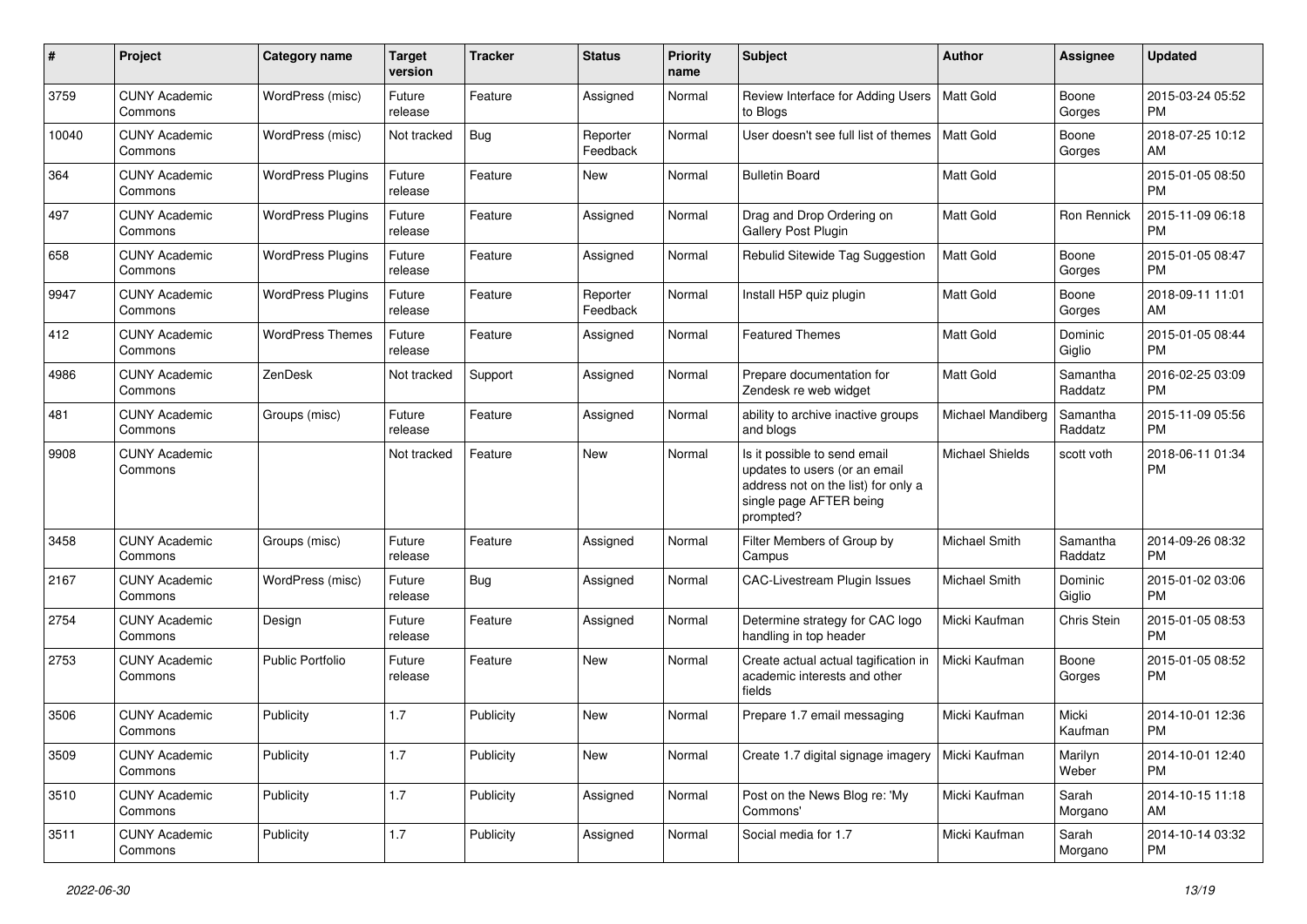| #     | Project                         | <b>Category name</b>     | Target<br>version | <b>Tracker</b> | <b>Status</b>        | Priority<br>name | <b>Subject</b>                                                                                                                               | <b>Author</b>          | <b>Assignee</b>     | <b>Updated</b>                |
|-------|---------------------------------|--------------------------|-------------------|----------------|----------------------|------------------|----------------------------------------------------------------------------------------------------------------------------------------------|------------------------|---------------------|-------------------------------|
| 3759  | <b>CUNY Academic</b><br>Commons | WordPress (misc)         | Future<br>release | Feature        | Assigned             | Normal           | Review Interface for Adding Users<br>to Blogs                                                                                                | <b>Matt Gold</b>       | Boone<br>Gorges     | 2015-03-24 05:52<br><b>PM</b> |
| 10040 | <b>CUNY Academic</b><br>Commons | WordPress (misc)         | Not tracked       | Bug            | Reporter<br>Feedback | Normal           | User doesn't see full list of themes                                                                                                         | Matt Gold              | Boone<br>Gorges     | 2018-07-25 10:12<br>AM        |
| 364   | <b>CUNY Academic</b><br>Commons | <b>WordPress Plugins</b> | Future<br>release | Feature        | New                  | Normal           | <b>Bulletin Board</b>                                                                                                                        | Matt Gold              |                     | 2015-01-05 08:50<br><b>PM</b> |
| 497   | <b>CUNY Academic</b><br>Commons | <b>WordPress Plugins</b> | Future<br>release | Feature        | Assigned             | Normal           | Drag and Drop Ordering on<br>Gallery Post Plugin                                                                                             | <b>Matt Gold</b>       | Ron Rennick         | 2015-11-09 06:18<br><b>PM</b> |
| 658   | <b>CUNY Academic</b><br>Commons | <b>WordPress Plugins</b> | Future<br>release | Feature        | Assigned             | Normal           | Rebulid Sitewide Tag Suggestion                                                                                                              | <b>Matt Gold</b>       | Boone<br>Gorges     | 2015-01-05 08:47<br><b>PM</b> |
| 9947  | <b>CUNY Academic</b><br>Commons | <b>WordPress Plugins</b> | Future<br>release | Feature        | Reporter<br>Feedback | Normal           | Install H5P quiz plugin                                                                                                                      | <b>Matt Gold</b>       | Boone<br>Gorges     | 2018-09-11 11:01<br>AM        |
| 412   | <b>CUNY Academic</b><br>Commons | <b>WordPress Themes</b>  | Future<br>release | Feature        | Assigned             | Normal           | <b>Featured Themes</b>                                                                                                                       | Matt Gold              | Dominic<br>Giglio   | 2015-01-05 08:44<br><b>PM</b> |
| 4986  | <b>CUNY Academic</b><br>Commons | ZenDesk                  | Not tracked       | Support        | Assigned             | Normal           | Prepare documentation for<br>Zendesk re web widget                                                                                           | <b>Matt Gold</b>       | Samantha<br>Raddatz | 2016-02-25 03:09<br><b>PM</b> |
| 481   | <b>CUNY Academic</b><br>Commons | Groups (misc)            | Future<br>release | Feature        | Assigned             | Normal           | ability to archive inactive groups<br>and blogs                                                                                              | Michael Mandiberg      | Samantha<br>Raddatz | 2015-11-09 05:56<br><b>PM</b> |
| 9908  | <b>CUNY Academic</b><br>Commons |                          | Not tracked       | Feature        | New                  | Normal           | Is it possible to send email<br>updates to users (or an email<br>address not on the list) for only a<br>single page AFTER being<br>prompted? | <b>Michael Shields</b> | scott voth          | 2018-06-11 01:34<br><b>PM</b> |
| 3458  | <b>CUNY Academic</b><br>Commons | Groups (misc)            | Future<br>release | Feature        | Assigned             | Normal           | Filter Members of Group by<br>Campus                                                                                                         | Michael Smith          | Samantha<br>Raddatz | 2014-09-26 08:32<br><b>PM</b> |
| 2167  | <b>CUNY Academic</b><br>Commons | WordPress (misc)         | Future<br>release | <b>Bug</b>     | Assigned             | Normal           | CAC-Livestream Plugin Issues                                                                                                                 | Michael Smith          | Dominic<br>Giglio   | 2015-01-02 03:06<br><b>PM</b> |
| 2754  | <b>CUNY Academic</b><br>Commons | Design                   | Future<br>release | Feature        | Assigned             | Normal           | Determine strategy for CAC logo<br>handling in top header                                                                                    | Micki Kaufman          | Chris Stein         | 2015-01-05 08:53<br><b>PM</b> |
| 2753  | <b>CUNY Academic</b><br>Commons | <b>Public Portfolio</b>  | Future<br>release | Feature        | New                  | Normal           | Create actual actual tagification in<br>academic interests and other<br>fields                                                               | Micki Kaufman          | Boone<br>Gorges     | 2015-01-05 08:52<br><b>PM</b> |
| 3506  | <b>CUNY Academic</b><br>Commons | Publicity                | 1.7               | Publicity      | New                  | Normal           | Prepare 1.7 email messaging                                                                                                                  | Micki Kaufman          | Micki<br>Kaufman    | 2014-10-01 12:36<br><b>PM</b> |
| 3509  | <b>CUNY Academic</b><br>Commons | Publicity                | 1.7               | Publicity      | New                  | Normal           | Create 1.7 digital signage imagery                                                                                                           | Micki Kaufman          | Marilyn<br>Weber    | 2014-10-01 12:40<br><b>PM</b> |
| 3510  | <b>CUNY Academic</b><br>Commons | Publicity                | 1.7               | Publicity      | Assigned             | Normal           | Post on the News Blog re: 'My<br>Commons'                                                                                                    | Micki Kaufman          | Sarah<br>Morgano    | 2014-10-15 11:18<br>AM        |
| 3511  | <b>CUNY Academic</b><br>Commons | Publicity                | 1.7               | Publicity      | Assigned             | Normal           | Social media for 1.7                                                                                                                         | Micki Kaufman          | Sarah<br>Morgano    | 2014-10-14 03:32<br>PM        |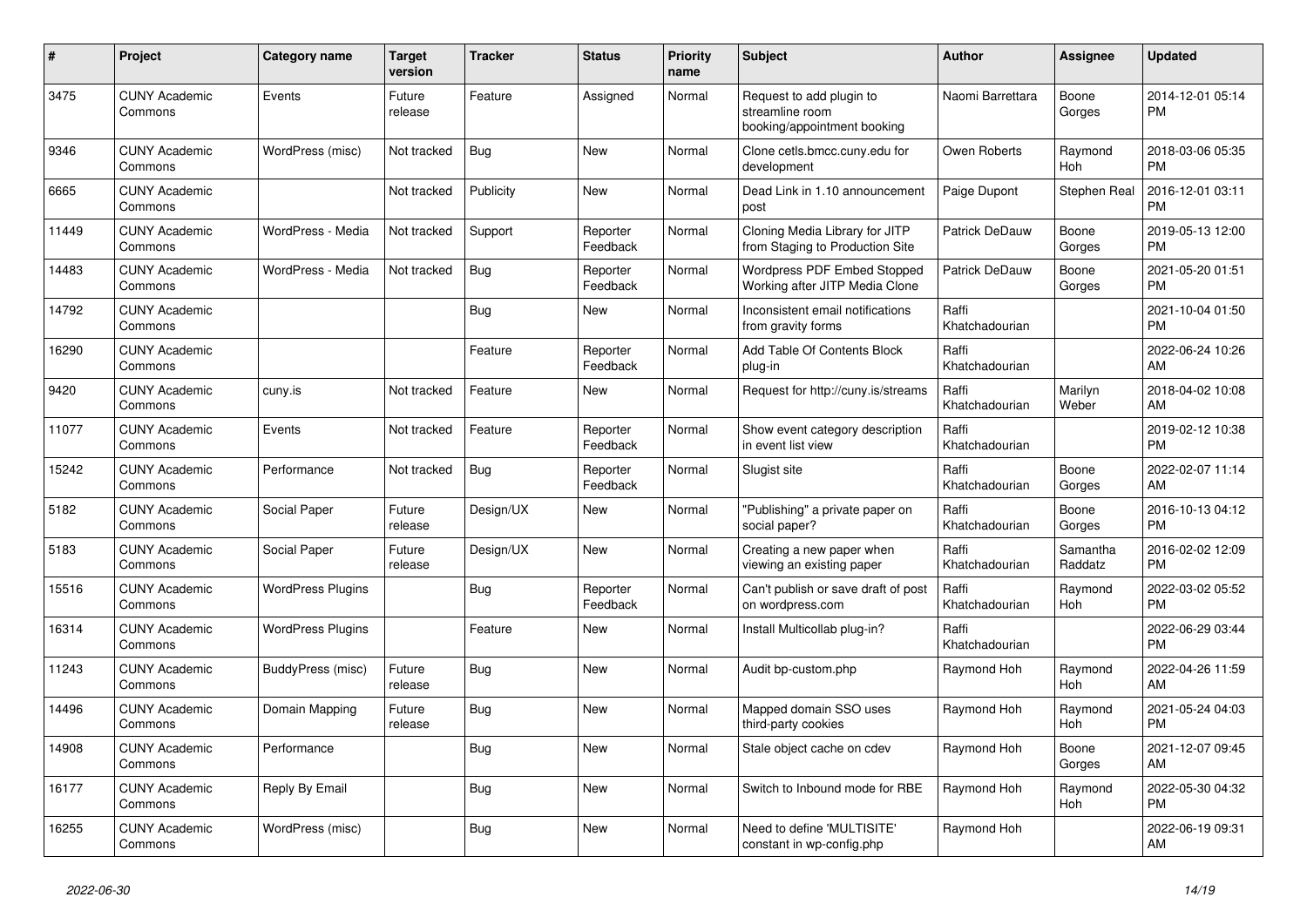| #     | Project                         | <b>Category name</b>     | <b>Target</b><br>version | <b>Tracker</b> | <b>Status</b>        | <b>Priority</b><br>name | <b>Subject</b>                                                             | <b>Author</b>           | <b>Assignee</b>     | <b>Updated</b>                |
|-------|---------------------------------|--------------------------|--------------------------|----------------|----------------------|-------------------------|----------------------------------------------------------------------------|-------------------------|---------------------|-------------------------------|
| 3475  | <b>CUNY Academic</b><br>Commons | Events                   | Future<br>release        | Feature        | Assigned             | Normal                  | Request to add plugin to<br>streamline room<br>booking/appointment booking | Naomi Barrettara        | Boone<br>Gorges     | 2014-12-01 05:14<br><b>PM</b> |
| 9346  | <b>CUNY Academic</b><br>Commons | WordPress (misc)         | Not tracked              | Bug            | <b>New</b>           | Normal                  | Clone cetls.bmcc.cuny.edu for<br>development                               | Owen Roberts            | Raymond<br>Hoh      | 2018-03-06 05:35<br><b>PM</b> |
| 6665  | <b>CUNY Academic</b><br>Commons |                          | Not tracked              | Publicity      | <b>New</b>           | Normal                  | Dead Link in 1.10 announcement<br>post                                     | Paige Dupont            | <b>Stephen Real</b> | 2016-12-01 03:11<br><b>PM</b> |
| 11449 | <b>CUNY Academic</b><br>Commons | WordPress - Media        | Not tracked              | Support        | Reporter<br>Feedback | Normal                  | Cloning Media Library for JITP<br>from Staging to Production Site          | <b>Patrick DeDauw</b>   | Boone<br>Gorges     | 2019-05-13 12:00<br><b>PM</b> |
| 14483 | <b>CUNY Academic</b><br>Commons | WordPress - Media        | Not tracked              | Bug            | Reporter<br>Feedback | Normal                  | <b>Wordpress PDF Embed Stopped</b><br>Working after JITP Media Clone       | <b>Patrick DeDauw</b>   | Boone<br>Gorges     | 2021-05-20 01:51<br><b>PM</b> |
| 14792 | <b>CUNY Academic</b><br>Commons |                          |                          | Bug            | <b>New</b>           | Normal                  | Inconsistent email notifications<br>from gravity forms                     | Raffi<br>Khatchadourian |                     | 2021-10-04 01:50<br><b>PM</b> |
| 16290 | <b>CUNY Academic</b><br>Commons |                          |                          | Feature        | Reporter<br>Feedback | Normal                  | Add Table Of Contents Block<br>plug-in                                     | Raffi<br>Khatchadourian |                     | 2022-06-24 10:26<br>AM        |
| 9420  | <b>CUNY Academic</b><br>Commons | cuny.is                  | Not tracked              | Feature        | New                  | Normal                  | Request for http://cuny.is/streams                                         | Raffi<br>Khatchadourian | Marilyn<br>Weber    | 2018-04-02 10:08<br>AM        |
| 11077 | <b>CUNY Academic</b><br>Commons | Events                   | Not tracked              | Feature        | Reporter<br>Feedback | Normal                  | Show event category description<br>in event list view                      | Raffi<br>Khatchadourian |                     | 2019-02-12 10:38<br><b>PM</b> |
| 15242 | <b>CUNY Academic</b><br>Commons | Performance              | Not tracked              | Bug            | Reporter<br>Feedback | Normal                  | Slugist site                                                               | Raffi<br>Khatchadourian | Boone<br>Gorges     | 2022-02-07 11:14<br>AM        |
| 5182  | <b>CUNY Academic</b><br>Commons | Social Paper             | Future<br>release        | Design/UX      | New                  | Normal                  | "Publishing" a private paper on<br>social paper?                           | Raffi<br>Khatchadourian | Boone<br>Gorges     | 2016-10-13 04:12<br><b>PM</b> |
| 5183  | <b>CUNY Academic</b><br>Commons | Social Paper             | Future<br>release        | Design/UX      | <b>New</b>           | Normal                  | Creating a new paper when<br>viewing an existing paper                     | Raffi<br>Khatchadourian | Samantha<br>Raddatz | 2016-02-02 12:09<br><b>PM</b> |
| 15516 | <b>CUNY Academic</b><br>Commons | <b>WordPress Plugins</b> |                          | Bug            | Reporter<br>Feedback | Normal                  | Can't publish or save draft of post<br>on wordpress.com                    | Raffi<br>Khatchadourian | Raymond<br>Hoh      | 2022-03-02 05:52<br><b>PM</b> |
| 16314 | <b>CUNY Academic</b><br>Commons | <b>WordPress Plugins</b> |                          | Feature        | New                  | Normal                  | Install Multicollab plug-in?                                               | Raffi<br>Khatchadourian |                     | 2022-06-29 03:44<br><b>PM</b> |
| 11243 | <b>CUNY Academic</b><br>Commons | BuddyPress (misc)        | Future<br>release        | Bug            | New                  | Normal                  | Audit bp-custom.php                                                        | Raymond Hoh             | Raymond<br>Hoh      | 2022-04-26 11:59<br>AM        |
| 14496 | <b>CUNY Academic</b><br>Commons | Domain Mapping           | Future<br>release        | <b>Bug</b>     | New                  | Normal                  | Mapped domain SSO uses<br>third-party cookies                              | Raymond Hoh             | Raymond<br>Hoh      | 2021-05-24 04:03<br><b>PM</b> |
| 14908 | <b>CUNY Academic</b><br>Commons | Performance              |                          | Bug            | <b>New</b>           | Normal                  | Stale object cache on cdev                                                 | Raymond Hoh             | Boone<br>Gorges     | 2021-12-07 09:45<br>AM        |
| 16177 | <b>CUNY Academic</b><br>Commons | Reply By Email           |                          | Bug            | New                  | Normal                  | Switch to Inbound mode for RBE                                             | Raymond Hoh             | Raymond<br>Hoh      | 2022-05-30 04:32<br><b>PM</b> |
| 16255 | <b>CUNY Academic</b><br>Commons | WordPress (misc)         |                          | Bug            | <b>New</b>           | Normal                  | Need to define 'MULTISITE'<br>constant in wp-config.php                    | Raymond Hoh             |                     | 2022-06-19 09:31<br>AM        |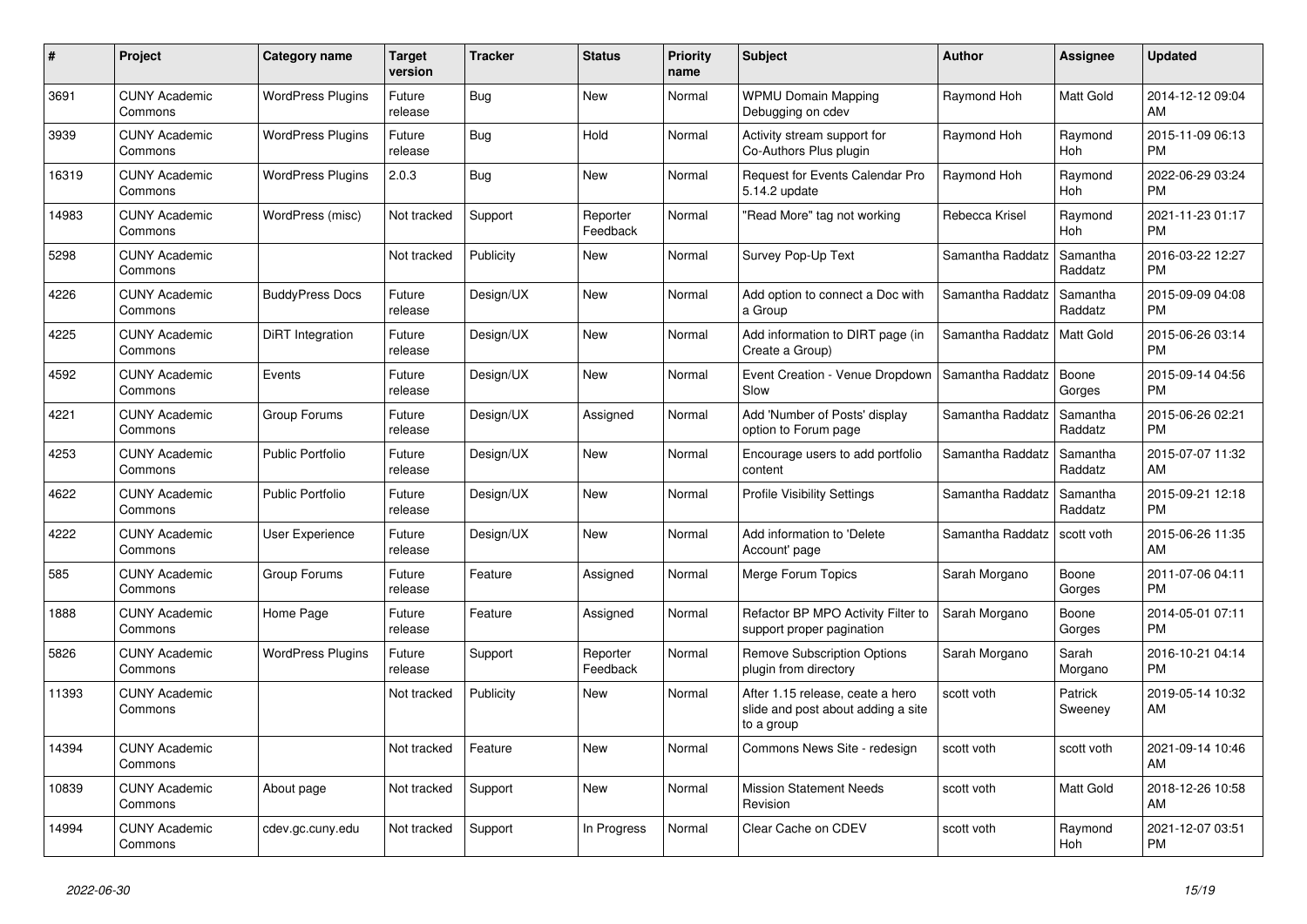| #     | Project                         | <b>Category name</b>     | <b>Target</b><br>version | <b>Tracker</b> | <b>Status</b>        | <b>Priority</b><br>name | <b>Subject</b>                                                                       | <b>Author</b>    | Assignee            | <b>Updated</b>                |
|-------|---------------------------------|--------------------------|--------------------------|----------------|----------------------|-------------------------|--------------------------------------------------------------------------------------|------------------|---------------------|-------------------------------|
| 3691  | <b>CUNY Academic</b><br>Commons | <b>WordPress Plugins</b> | Future<br>release        | Bug            | <b>New</b>           | Normal                  | <b>WPMU Domain Mapping</b><br>Debugging on cdev                                      | Raymond Hoh      | Matt Gold           | 2014-12-12 09:04<br>AM        |
| 3939  | <b>CUNY Academic</b><br>Commons | <b>WordPress Plugins</b> | Future<br>release        | Bug            | Hold                 | Normal                  | Activity stream support for<br>Co-Authors Plus plugin                                | Raymond Hoh      | Raymond<br>Hoh      | 2015-11-09 06:13<br><b>PM</b> |
| 16319 | <b>CUNY Academic</b><br>Commons | <b>WordPress Plugins</b> | 2.0.3                    | Bug            | New                  | Normal                  | <b>Request for Events Calendar Pro</b><br>5.14.2 update                              | Raymond Hoh      | Raymond<br>Hoh      | 2022-06-29 03:24<br><b>PM</b> |
| 14983 | <b>CUNY Academic</b><br>Commons | WordPress (misc)         | Not tracked              | Support        | Reporter<br>Feedback | Normal                  | "Read More" tag not working                                                          | Rebecca Krisel   | Raymond<br>Hoh      | 2021-11-23 01:17<br><b>PM</b> |
| 5298  | <b>CUNY Academic</b><br>Commons |                          | Not tracked              | Publicity      | New                  | Normal                  | Survey Pop-Up Text                                                                   | Samantha Raddatz | Samantha<br>Raddatz | 2016-03-22 12:27<br><b>PM</b> |
| 4226  | <b>CUNY Academic</b><br>Commons | <b>BuddyPress Docs</b>   | Future<br>release        | Design/UX      | New                  | Normal                  | Add option to connect a Doc with<br>a Group                                          | Samantha Raddatz | Samantha<br>Raddatz | 2015-09-09 04:08<br><b>PM</b> |
| 4225  | <b>CUNY Academic</b><br>Commons | DiRT Integration         | Future<br>release        | Design/UX      | <b>New</b>           | Normal                  | Add information to DIRT page (in<br>Create a Group)                                  | Samantha Raddatz | <b>Matt Gold</b>    | 2015-06-26 03:14<br><b>PM</b> |
| 4592  | <b>CUNY Academic</b><br>Commons | Events                   | Future<br>release        | Design/UX      | <b>New</b>           | Normal                  | Event Creation - Venue Dropdown<br>Slow                                              | Samantha Raddatz | Boone<br>Gorges     | 2015-09-14 04:56<br><b>PM</b> |
| 4221  | <b>CUNY Academic</b><br>Commons | Group Forums             | Future<br>release        | Design/UX      | Assigned             | Normal                  | Add 'Number of Posts' display<br>option to Forum page                                | Samantha Raddatz | Samantha<br>Raddatz | 2015-06-26 02:21<br><b>PM</b> |
| 4253  | <b>CUNY Academic</b><br>Commons | <b>Public Portfolio</b>  | Future<br>release        | Design/UX      | New                  | Normal                  | Encourage users to add portfolio<br>content                                          | Samantha Raddatz | Samantha<br>Raddatz | 2015-07-07 11:32<br>AM        |
| 4622  | <b>CUNY Academic</b><br>Commons | <b>Public Portfolio</b>  | Future<br>release        | Design/UX      | <b>New</b>           | Normal                  | <b>Profile Visibility Settings</b>                                                   | Samantha Raddatz | Samantha<br>Raddatz | 2015-09-21 12:18<br><b>PM</b> |
| 4222  | <b>CUNY Academic</b><br>Commons | <b>User Experience</b>   | Future<br>release        | Design/UX      | New                  | Normal                  | Add information to 'Delete<br>Account' page                                          | Samantha Raddatz | scott voth          | 2015-06-26 11:35<br>AM        |
| 585   | <b>CUNY Academic</b><br>Commons | Group Forums             | Future<br>release        | Feature        | Assigned             | Normal                  | Merge Forum Topics                                                                   | Sarah Morgano    | Boone<br>Gorges     | 2011-07-06 04:11<br><b>PM</b> |
| 1888  | <b>CUNY Academic</b><br>Commons | Home Page                | Future<br>release        | Feature        | Assigned             | Normal                  | Refactor BP MPO Activity Filter to<br>support proper pagination                      | Sarah Morgano    | Boone<br>Gorges     | 2014-05-01 07:11<br><b>PM</b> |
| 5826  | <b>CUNY Academic</b><br>Commons | <b>WordPress Plugins</b> | Future<br>release        | Support        | Reporter<br>Feedback | Normal                  | <b>Remove Subscription Options</b><br>plugin from directory                          | Sarah Morgano    | Sarah<br>Morgano    | 2016-10-21 04:14<br><b>PM</b> |
| 11393 | <b>CUNY Academic</b><br>Commons |                          | Not tracked              | Publicity      | New                  | Normal                  | After 1.15 release, ceate a hero<br>slide and post about adding a site<br>to a group | scott voth       | Patrick<br>Sweeney  | 2019-05-14 10:32<br>AM        |
| 14394 | <b>CUNY Academic</b><br>Commons |                          | Not tracked              | Feature        | <b>New</b>           | Normal                  | Commons News Site - redesign                                                         | scott voth       | scott voth          | 2021-09-14 10:46<br>AM        |
| 10839 | <b>CUNY Academic</b><br>Commons | About page               | Not tracked              | Support        | <b>New</b>           | Normal                  | <b>Mission Statement Needs</b><br>Revision                                           | scott voth       | Matt Gold           | 2018-12-26 10:58<br>AM        |
| 14994 | <b>CUNY Academic</b><br>Commons | cdev.gc.cuny.edu         | Not tracked              | Support        | In Progress          | Normal                  | Clear Cache on CDEV                                                                  | scott voth       | Raymond<br>Hoh      | 2021-12-07 03:51<br><b>PM</b> |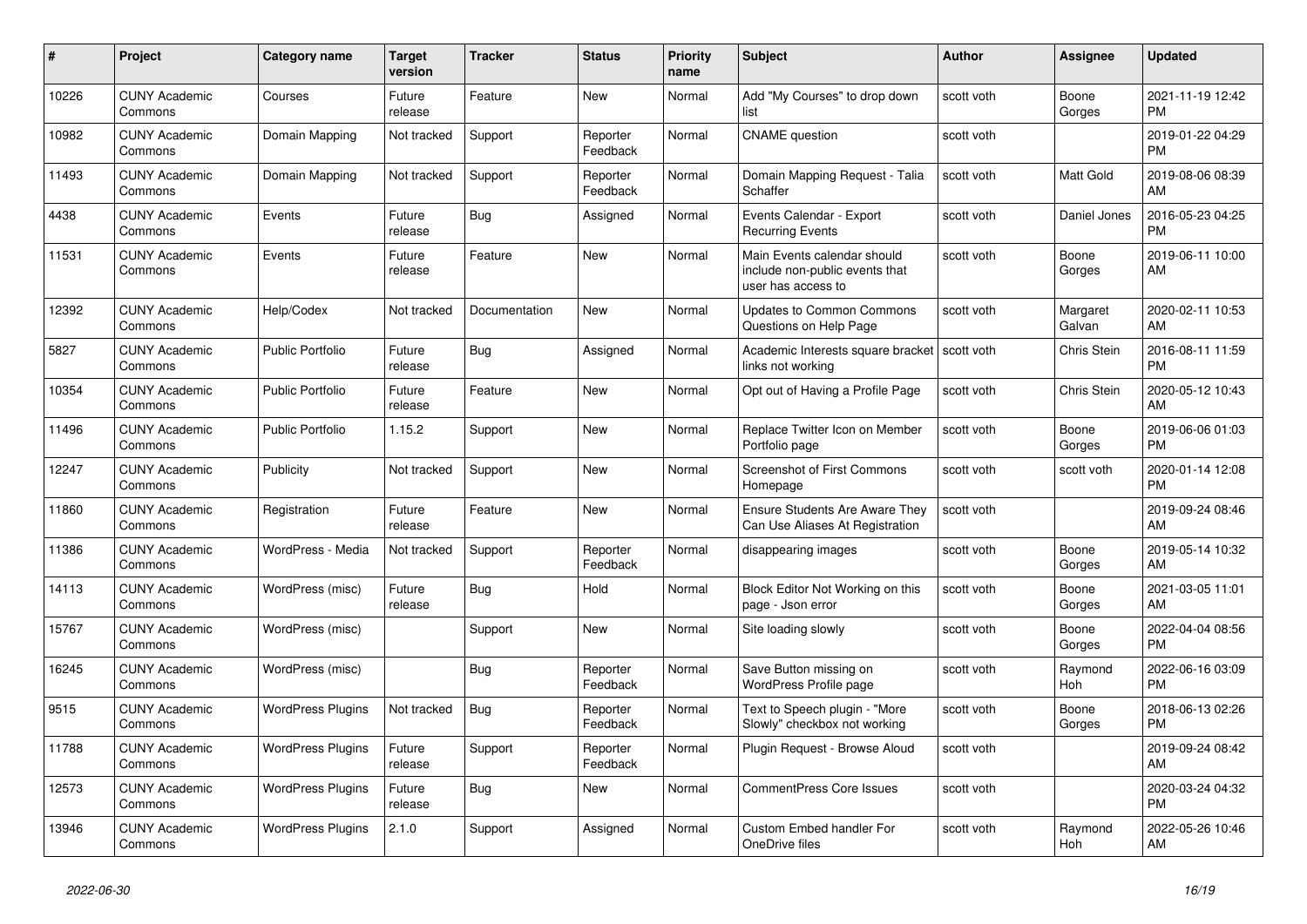| #     | <b>Project</b>                  | Category name            | <b>Target</b><br>version | <b>Tracker</b> | <b>Status</b>        | <b>Priority</b><br>name | <b>Subject</b>                                                                      | <b>Author</b> | Assignee           | <b>Updated</b>                |
|-------|---------------------------------|--------------------------|--------------------------|----------------|----------------------|-------------------------|-------------------------------------------------------------------------------------|---------------|--------------------|-------------------------------|
| 10226 | <b>CUNY Academic</b><br>Commons | Courses                  | Future<br>release        | Feature        | New                  | Normal                  | Add "My Courses" to drop down<br>list                                               | scott voth    | Boone<br>Gorges    | 2021-11-19 12:42<br><b>PM</b> |
| 10982 | <b>CUNY Academic</b><br>Commons | Domain Mapping           | Not tracked              | Support        | Reporter<br>Feedback | Normal                  | <b>CNAME</b> question                                                               | scott voth    |                    | 2019-01-22 04:29<br><b>PM</b> |
| 11493 | <b>CUNY Academic</b><br>Commons | Domain Mapping           | Not tracked              | Support        | Reporter<br>Feedback | Normal                  | Domain Mapping Request - Talia<br>Schaffer                                          | scott voth    | Matt Gold          | 2019-08-06 08:39<br>AM        |
| 4438  | <b>CUNY Academic</b><br>Commons | Events                   | Future<br>release        | Bug            | Assigned             | Normal                  | Events Calendar - Export<br><b>Recurring Events</b>                                 | scott voth    | Daniel Jones       | 2016-05-23 04:25<br><b>PM</b> |
| 11531 | <b>CUNY Academic</b><br>Commons | Events                   | Future<br>release        | Feature        | New                  | Normal                  | Main Events calendar should<br>include non-public events that<br>user has access to | scott voth    | Boone<br>Gorges    | 2019-06-11 10:00<br>AM        |
| 12392 | <b>CUNY Academic</b><br>Commons | Help/Codex               | Not tracked              | Documentation  | <b>New</b>           | Normal                  | <b>Updates to Common Commons</b><br>Questions on Help Page                          | scott voth    | Margaret<br>Galvan | 2020-02-11 10:53<br>AM        |
| 5827  | <b>CUNY Academic</b><br>Commons | Public Portfolio         | Future<br>release        | Bug            | Assigned             | Normal                  | Academic Interests square bracket<br>links not working                              | scott voth    | Chris Stein        | 2016-08-11 11:59<br><b>PM</b> |
| 10354 | <b>CUNY Academic</b><br>Commons | <b>Public Portfolio</b>  | Future<br>release        | Feature        | New                  | Normal                  | Opt out of Having a Profile Page                                                    | scott voth    | Chris Stein        | 2020-05-12 10:43<br>AM        |
| 11496 | <b>CUNY Academic</b><br>Commons | <b>Public Portfolio</b>  | 1.15.2                   | Support        | New                  | Normal                  | Replace Twitter Icon on Member<br>Portfolio page                                    | scott voth    | Boone<br>Gorges    | 2019-06-06 01:03<br><b>PM</b> |
| 12247 | <b>CUNY Academic</b><br>Commons | Publicity                | Not tracked              | Support        | <b>New</b>           | Normal                  | <b>Screenshot of First Commons</b><br>Homepage                                      | scott voth    | scott voth         | 2020-01-14 12:08<br><b>PM</b> |
| 11860 | <b>CUNY Academic</b><br>Commons | Registration             | Future<br>release        | Feature        | New                  | Normal                  | Ensure Students Are Aware They<br>Can Use Aliases At Registration                   | scott voth    |                    | 2019-09-24 08:46<br>AM        |
| 11386 | <b>CUNY Academic</b><br>Commons | WordPress - Media        | Not tracked              | Support        | Reporter<br>Feedback | Normal                  | disappearing images                                                                 | scott voth    | Boone<br>Gorges    | 2019-05-14 10:32<br>AM        |
| 14113 | <b>CUNY Academic</b><br>Commons | WordPress (misc)         | Future<br>release        | <b>Bug</b>     | Hold                 | Normal                  | Block Editor Not Working on this<br>page - Json error                               | scott voth    | Boone<br>Gorges    | 2021-03-05 11:01<br>AM        |
| 15767 | <b>CUNY Academic</b><br>Commons | WordPress (misc)         |                          | Support        | New                  | Normal                  | Site loading slowly                                                                 | scott voth    | Boone<br>Gorges    | 2022-04-04 08:56<br><b>PM</b> |
| 16245 | <b>CUNY Academic</b><br>Commons | WordPress (misc)         |                          | <b>Bug</b>     | Reporter<br>Feedback | Normal                  | Save Button missing on<br>WordPress Profile page                                    | scott voth    | Raymond<br>Hoh     | 2022-06-16 03:09<br><b>PM</b> |
| 9515  | <b>CUNY Academic</b><br>Commons | <b>WordPress Plugins</b> | Not tracked              | Bug            | Reporter<br>Feedback | Normal                  | Text to Speech plugin - "More<br>Slowly" checkbox not working                       | scott voth    | Boone<br>Gorges    | 2018-06-13 02:26<br><b>PM</b> |
| 11788 | <b>CUNY Academic</b><br>Commons | <b>WordPress Plugins</b> | Future<br>release        | Support        | Reporter<br>Feedback | Normal                  | Plugin Request - Browse Aloud                                                       | scott voth    |                    | 2019-09-24 08:42<br>AM        |
| 12573 | <b>CUNY Academic</b><br>Commons | <b>WordPress Plugins</b> | Future<br>release        | <b>Bug</b>     | New                  | Normal                  | <b>CommentPress Core Issues</b>                                                     | scott voth    |                    | 2020-03-24 04:32<br><b>PM</b> |
| 13946 | <b>CUNY Academic</b><br>Commons | <b>WordPress Plugins</b> | 2.1.0                    | Support        | Assigned             | Normal                  | <b>Custom Embed handler For</b><br>OneDrive files                                   | scott voth    | Raymond<br>Hoh     | 2022-05-26 10:46<br>AM        |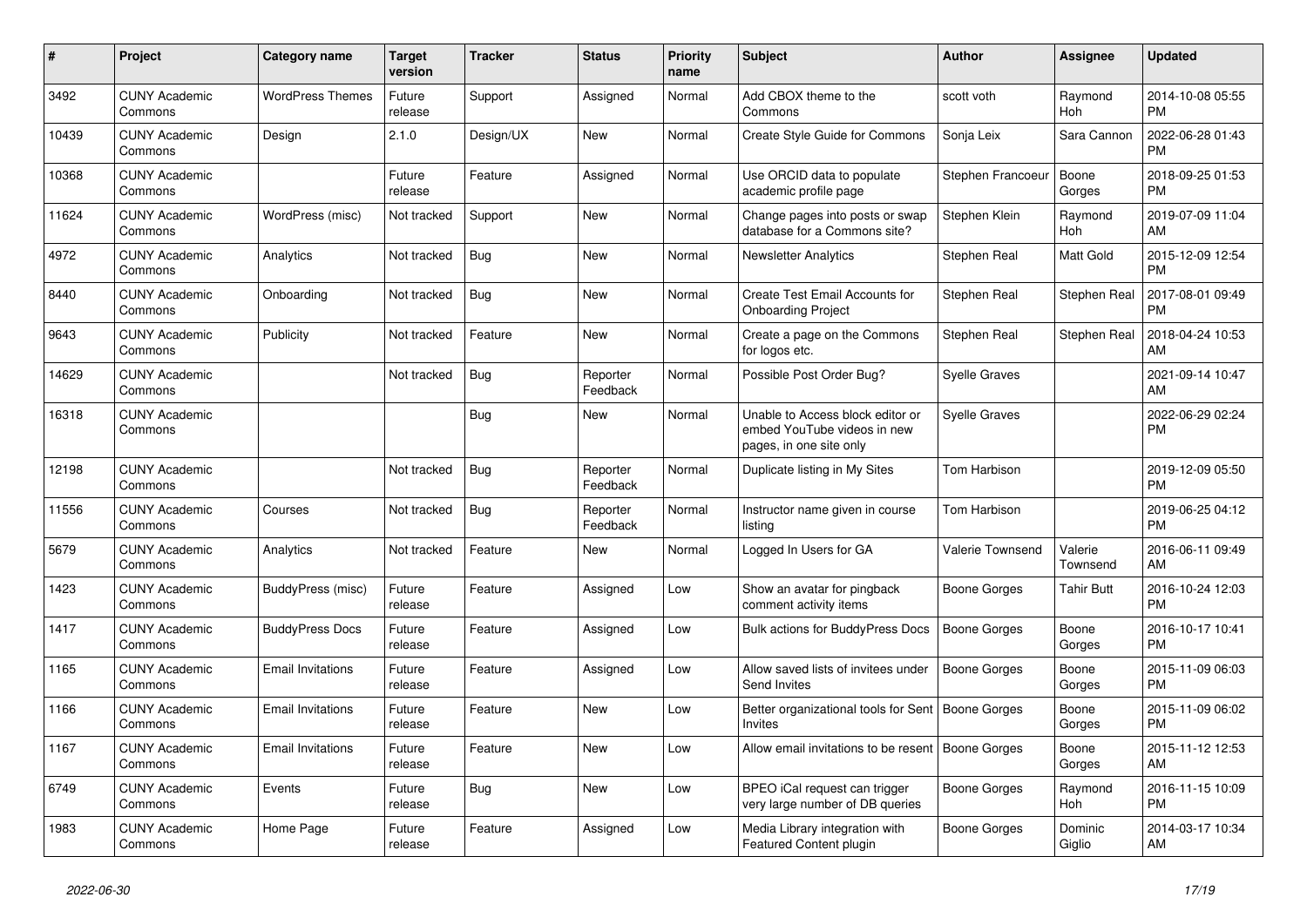| #     | <b>Project</b>                  | Category name            | <b>Target</b><br>version | <b>Tracker</b> | <b>Status</b>        | <b>Priority</b><br>name | <b>Subject</b>                                                                             | <b>Author</b>        | Assignee            | <b>Updated</b>                |
|-------|---------------------------------|--------------------------|--------------------------|----------------|----------------------|-------------------------|--------------------------------------------------------------------------------------------|----------------------|---------------------|-------------------------------|
| 3492  | <b>CUNY Academic</b><br>Commons | <b>WordPress Themes</b>  | Future<br>release        | Support        | Assigned             | Normal                  | Add CBOX theme to the<br>Commons                                                           | scott voth           | Raymond<br>Hoh      | 2014-10-08 05:55<br><b>PM</b> |
| 10439 | <b>CUNY Academic</b><br>Commons | Design                   | 2.1.0                    | Design/UX      | New                  | Normal                  | <b>Create Style Guide for Commons</b>                                                      | Sonja Leix           | Sara Cannon         | 2022-06-28 01:43<br><b>PM</b> |
| 10368 | <b>CUNY Academic</b><br>Commons |                          | Future<br>release        | Feature        | Assigned             | Normal                  | Use ORCID data to populate<br>academic profile page                                        | Stephen Francoeur    | Boone<br>Gorges     | 2018-09-25 01:53<br><b>PM</b> |
| 11624 | <b>CUNY Academic</b><br>Commons | WordPress (misc)         | Not tracked              | Support        | <b>New</b>           | Normal                  | Change pages into posts or swap<br>database for a Commons site?                            | Stephen Klein        | Raymond<br>Hoh      | 2019-07-09 11:04<br>AM        |
| 4972  | <b>CUNY Academic</b><br>Commons | Analytics                | Not tracked              | Bug            | <b>New</b>           | Normal                  | <b>Newsletter Analytics</b>                                                                | Stephen Real         | Matt Gold           | 2015-12-09 12:54<br><b>PM</b> |
| 8440  | <b>CUNY Academic</b><br>Commons | Onboarding               | Not tracked              | Bug            | New                  | Normal                  | Create Test Email Accounts for<br><b>Onboarding Project</b>                                | Stephen Real         | Stephen Real        | 2017-08-01 09:49<br><b>PM</b> |
| 9643  | <b>CUNY Academic</b><br>Commons | Publicity                | Not tracked              | Feature        | <b>New</b>           | Normal                  | Create a page on the Commons<br>for logos etc.                                             | Stephen Real         | Stephen Real        | 2018-04-24 10:53<br>AM        |
| 14629 | <b>CUNY Academic</b><br>Commons |                          | Not tracked              | Bug            | Reporter<br>Feedback | Normal                  | Possible Post Order Bug?                                                                   | <b>Syelle Graves</b> |                     | 2021-09-14 10:47<br>AM        |
| 16318 | <b>CUNY Academic</b><br>Commons |                          |                          | <b>Bug</b>     | New                  | Normal                  | Unable to Access block editor or<br>embed YouTube videos in new<br>pages, in one site only | <b>Syelle Graves</b> |                     | 2022-06-29 02:24<br><b>PM</b> |
| 12198 | <b>CUNY Academic</b><br>Commons |                          | Not tracked              | <b>Bug</b>     | Reporter<br>Feedback | Normal                  | Duplicate listing in My Sites                                                              | Tom Harbison         |                     | 2019-12-09 05:50<br><b>PM</b> |
| 11556 | <b>CUNY Academic</b><br>Commons | Courses                  | Not tracked              | <b>Bug</b>     | Reporter<br>Feedback | Normal                  | Instructor name given in course<br>listina                                                 | Tom Harbison         |                     | 2019-06-25 04:12<br><b>PM</b> |
| 5679  | <b>CUNY Academic</b><br>Commons | Analytics                | Not tracked              | Feature        | New                  | Normal                  | Logged In Users for GA                                                                     | Valerie Townsend     | Valerie<br>Townsend | 2016-06-11 09:49<br>AM        |
| 1423  | <b>CUNY Academic</b><br>Commons | BuddyPress (misc)        | Future<br>release        | Feature        | Assigned             | Low                     | Show an avatar for pingback<br>comment activity items                                      | Boone Gorges         | Tahir Butt          | 2016-10-24 12:03<br><b>PM</b> |
| 1417  | <b>CUNY Academic</b><br>Commons | <b>BuddyPress Docs</b>   | Future<br>release        | Feature        | Assigned             | Low                     | Bulk actions for BuddyPress Docs                                                           | Boone Gorges         | Boone<br>Gorges     | 2016-10-17 10:41<br><b>PM</b> |
| 1165  | <b>CUNY Academic</b><br>Commons | <b>Email Invitations</b> | Future<br>release        | Feature        | Assigned             | Low                     | Allow saved lists of invitees under<br>Send Invites                                        | Boone Gorges         | Boone<br>Gorges     | 2015-11-09 06:03<br><b>PM</b> |
| 1166  | <b>CUNY Academic</b><br>Commons | <b>Email Invitations</b> | Future<br>release        | Feature        | New                  | Low                     | Better organizational tools for Sent   Boone Gorges<br><b>Invites</b>                      |                      | Boone<br>Gorges     | 2015-11-09 06:02<br><b>PM</b> |
| 1167  | <b>CUNY Academic</b><br>Commons | <b>Email Invitations</b> | Future<br>release        | Feature        | <b>New</b>           | Low                     | Allow email invitations to be resent   Boone Gorges                                        |                      | Boone<br>Gorges     | 2015-11-12 12:53<br>AM        |
| 6749  | <b>CUNY Academic</b><br>Commons | Events                   | Future<br>release        | <b>Bug</b>     | New                  | Low                     | BPEO iCal request can trigger<br>very large number of DB queries                           | Boone Gorges         | Raymond<br>Hoh      | 2016-11-15 10:09<br><b>PM</b> |
| 1983  | <b>CUNY Academic</b><br>Commons | Home Page                | Future<br>release        | Feature        | Assigned             | Low                     | Media Library integration with<br>Featured Content plugin                                  | Boone Gorges         | Dominic<br>Giglio   | 2014-03-17 10:34<br>AM        |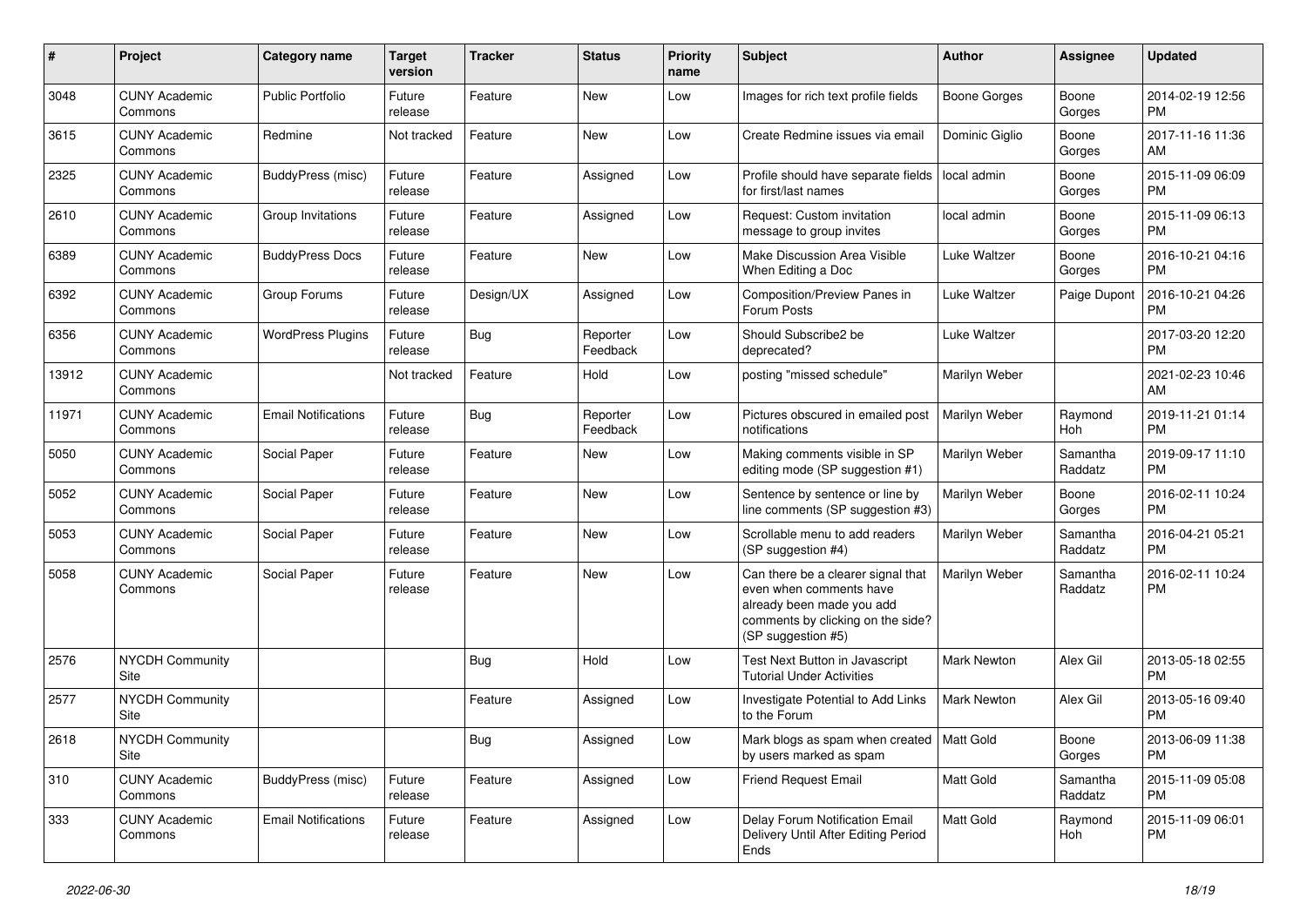| #             | Project                         | <b>Category name</b>       | <b>Target</b><br>version | <b>Tracker</b> | <b>Status</b>        | <b>Priority</b><br>name | <b>Subject</b>                                                                                                                                        | <b>Author</b>      | Assignee            | <b>Updated</b>                |
|---------------|---------------------------------|----------------------------|--------------------------|----------------|----------------------|-------------------------|-------------------------------------------------------------------------------------------------------------------------------------------------------|--------------------|---------------------|-------------------------------|
| 3048          | <b>CUNY Academic</b><br>Commons | <b>Public Portfolio</b>    | Future<br>release        | Feature        | New                  | Low                     | Images for rich text profile fields                                                                                                                   | Boone Gorges       | Boone<br>Gorges     | 2014-02-19 12:56<br><b>PM</b> |
| 3615          | <b>CUNY Academic</b><br>Commons | Redmine                    | Not tracked              | Feature        | New                  | Low                     | Create Redmine issues via email                                                                                                                       | Dominic Giglio     | Boone<br>Gorges     | 2017-11-16 11:36<br>AM        |
| 2325          | <b>CUNY Academic</b><br>Commons | <b>BuddyPress (misc)</b>   | Future<br>release        | Feature        | Assigned             | Low                     | Profile should have separate fields<br>for first/last names                                                                                           | local admin        | Boone<br>Gorges     | 2015-11-09 06:09<br>PM        |
| 2610          | <b>CUNY Academic</b><br>Commons | Group Invitations          | Future<br>release        | Feature        | Assigned             | Low                     | Request: Custom invitation<br>message to group invites                                                                                                | local admin        | Boone<br>Gorges     | 2015-11-09 06:13<br><b>PM</b> |
| 6389          | <b>CUNY Academic</b><br>Commons | <b>BuddyPress Docs</b>     | Future<br>release        | Feature        | New                  | Low                     | Make Discussion Area Visible<br>When Editing a Doc                                                                                                    | Luke Waltzer       | Boone<br>Gorges     | 2016-10-21 04:16<br><b>PM</b> |
| 6392          | <b>CUNY Academic</b><br>Commons | Group Forums               | Future<br>release        | Design/UX      | Assigned             | Low                     | Composition/Preview Panes in<br>Forum Posts                                                                                                           | Luke Waltzer       | Paige Dupont        | 2016-10-21 04:26<br><b>PM</b> |
| 6356          | <b>CUNY Academic</b><br>Commons | <b>WordPress Plugins</b>   | Future<br>release        | Bug            | Reporter<br>Feedback | Low                     | Should Subscribe2 be<br>deprecated?                                                                                                                   | Luke Waltzer       |                     | 2017-03-20 12:20<br><b>PM</b> |
| 13912         | <b>CUNY Academic</b><br>Commons |                            | Not tracked              | Feature        | Hold                 | Low                     | posting "missed schedule"                                                                                                                             | Marilyn Weber      |                     | 2021-02-23 10:46<br>AM        |
| 11971         | <b>CUNY Academic</b><br>Commons | <b>Email Notifications</b> | Future<br>release        | Bug            | Reporter<br>Feedback | Low                     | Pictures obscured in emailed post<br>notifications                                                                                                    | Marilyn Weber      | Raymond<br>Hoh      | 2019-11-21 01:14<br><b>PM</b> |
| 5050          | <b>CUNY Academic</b><br>Commons | Social Paper               | Future<br>release        | Feature        | New                  | Low                     | Making comments visible in SP<br>editing mode (SP suggestion #1)                                                                                      | Marilyn Weber      | Samantha<br>Raddatz | 2019-09-17 11:10<br><b>PM</b> |
| 5052          | <b>CUNY Academic</b><br>Commons | Social Paper               | Future<br>release        | Feature        | New                  | Low                     | Sentence by sentence or line by<br>line comments (SP suggestion #3)                                                                                   | Marilyn Weber      | Boone<br>Gorges     | 2016-02-11 10:24<br><b>PM</b> |
| 5053          | <b>CUNY Academic</b><br>Commons | Social Paper               | Future<br>release        | Feature        | New                  | Low                     | Scrollable menu to add readers<br>(SP suggestion #4)                                                                                                  | Marilyn Weber      | Samantha<br>Raddatz | 2016-04-21 05:21<br><b>PM</b> |
| 5058          | <b>CUNY Academic</b><br>Commons | Social Paper               | Future<br>release        | Feature        | New                  | Low                     | Can there be a clearer signal that<br>even when comments have<br>already been made you add<br>comments by clicking on the side?<br>(SP suggestion #5) | Marilyn Weber      | Samantha<br>Raddatz | 2016-02-11 10:24<br>PM        |
| 2576          | <b>NYCDH Community</b><br>Site  |                            |                          | Bug            | Hold                 | Low                     | Test Next Button in Javascript<br><b>Tutorial Under Activities</b>                                                                                    | Mark Newton        | Alex Gil            | 2013-05-18 02:55<br><b>PM</b> |
| 2577          | <b>NYCDH Community</b><br>Site  |                            |                          | Feature        | Assigned             | Low                     | Investigate Potential to Add Links<br>to the Forum                                                                                                    | <b>Mark Newton</b> | Alex Gil            | 2013-05-16 09:40<br><b>PM</b> |
| 2618          | NYCDH Community<br>Site         |                            |                          | <b>Bug</b>     | Assigned             | Low                     | Mark blogs as spam when created   Matt Gold<br>by users marked as spam                                                                                |                    | Boone<br>Gorges     | 2013-06-09 11:38<br><b>PM</b> |
| $ 310\rangle$ | <b>CUNY Academic</b><br>Commons | <b>BuddyPress (misc)</b>   | Future<br>release        | Feature        | Assigned             | Low                     | <b>Friend Request Email</b>                                                                                                                           | Matt Gold          | Samantha<br>Raddatz | 2015-11-09 05:08<br><b>PM</b> |
| 333           | <b>CUNY Academic</b><br>Commons | <b>Email Notifications</b> | Future<br>release        | Feature        | Assigned             | Low                     | Delay Forum Notification Email<br>Delivery Until After Editing Period<br>Ends                                                                         | <b>Matt Gold</b>   | Raymond<br>Hoh      | 2015-11-09 06:01<br>PM        |